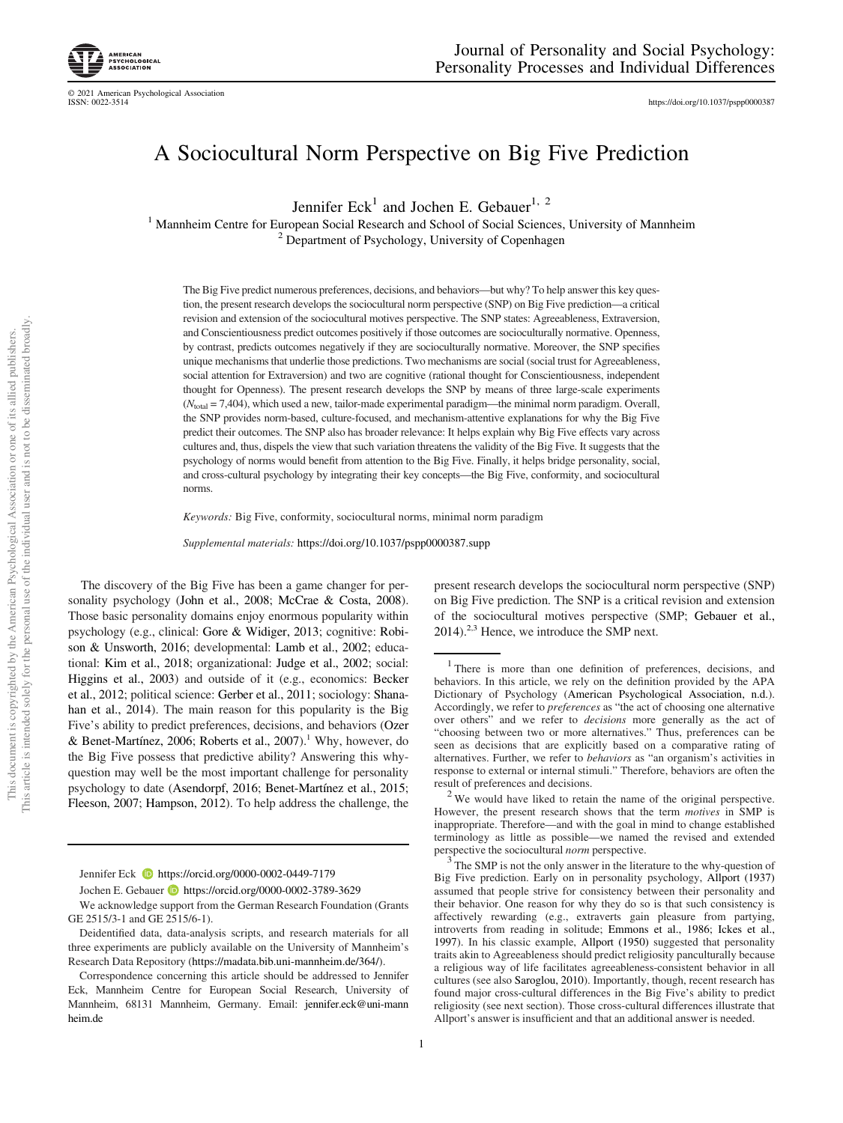© 2021 American Psychological Association

https://doi.org/10.1037/pspp0000387

## A Sociocultural Norm Perspective on Big Five Prediction

Jennifer  $\text{Eck}^1$  and Jochen E. Gebauer<sup>1, 2</sup>

<sup>1</sup> Mannheim Centre for European Social Research and School of Social Sciences, University of Mannheim <sup>2</sup> Department of Psychology, University of Copenhagen

The Big Five predict numerous preferences, decisions, and behaviors—but why? To help answer this key question, the present research develops the sociocultural norm perspective (SNP) on Big Five prediction—a critical revision and extension of the sociocultural motives perspective. The SNP states: Agreeableness, Extraversion, and Conscientiousness predict outcomes positively if those outcomes are socioculturally normative. Openness, by contrast, predicts outcomes negatively if they are socioculturally normative. Moreover, the SNP specifies unique mechanisms that underlie those predictions. Two mechanisms are social (social trust for Agreeableness, social attention for Extraversion) and two are cognitive (rational thought for Conscientiousness, independent thought for Openness). The present research develops the SNP by means of three large-scale experiments ( $N<sub>total</sub> = 7,404$ ), which used a new, tailor-made experimental paradigm—the minimal norm paradigm. Overall, the SNP provides norm-based, culture-focused, and mechanism-attentive explanations for why the Big Five predict their outcomes. The SNP also has broader relevance: It helps explain why Big Five effects vary across cultures and, thus, dispels the view that such variation threatens the validity of the Big Five. It suggests that the psychology of norms would benefit from attention to the Big Five. Finally, it helps bridge personality, social, and cross-cultural psychology by integrating their key concepts—the Big Five, conformity, and sociocultural norms.

*Keywords:* Big Five, conformity, sociocultural norms, minimal norm paradigm

*Supplemental materials:* https://doi.org/10.1037/pspp0000387.supp

The discovery of the Big Five has been a game changer for personality psychology (John et al., 2008; McCrae & Costa, 2008). Those basic personality domains enjoy enormous popularity within psychology (e.g., clinical: Gore & Widiger, 2013; cognitive: Robison & Unsworth, 2016; developmental: Lamb et al., 2002; educational: Kim et al., 2018; organizational: Judge et al., 2002; social: Higgins et al., 2003) and outside of it (e.g., economics: Becker et al., 2012; political science: Gerber et al., 2011; sociology: Shanahan et al., 2014). The main reason for this popularity is the Big Five's ability to predict preferences, decisions, and behaviors (Ozer & Benet-Martínez, 2006; Roberts et al., 2007).<sup>1</sup> Why, however, do the Big Five possess that predictive ability? Answering this whyquestion may well be the most important challenge for personality psychology to date (Asendorpf, 2016; Benet-Martínez et al., 2015; Fleeson, 2007; Hampson, 2012). To help address the challenge, the

Jennifer Eck  $\bullet$  https://orcid.org/0000-0002-0449-7179

Jochen E. Gebauer **b** https://orcid.org/0000-0002-3789-3629

We acknowledge support from the German Research Foundation (Grants GE 2515/3-1 and GE 2515/6-1).

Deidentified data, data-analysis scripts, and research materials for all three experiments are publicly available on the University of Mannheim's Research Data Repository (https://madata.bib.uni-mannheim.de/364/).

Correspondence concerning this article should be addressed to Jennifer Eck, Mannheim Centre for European Social Research, University of Mannheim, 68131 Mannheim, Germany. Email: jennifer.eck@uni-mann heim.de

present research develops the sociocultural norm perspective (SNP) on Big Five prediction. The SNP is a critical revision and extension of the sociocultural motives perspective (SMP; Gebauer et al., 2014).<sup>2,3</sup> Hence, we introduce the SMP next.

 $2$  We would have liked to retain the name of the original perspective. However, the present research shows that the term *motives* in SMP is inappropriate. Therefore—and with the goal in mind to change established terminology as little as possible—we named the revised and extended perspective the sociocultural *norm* perspective.

<sup>3</sup>The SMP is not the only answer in the literature to the why-question of Big Five prediction. Early on in personality psychology, Allport (1937) assumed that people strive for consistency between their personality and their behavior. One reason for why they do so is that such consistency is affectively rewarding (e.g., extraverts gain pleasure from partying, introverts from reading in solitude; Emmons et al., 1986; Ickes et al., 1997). In his classic example, Allport (1950) suggested that personality traits akin to Agreeableness should predict religiosity panculturally because a religious way of life facilitates agreeableness-consistent behavior in all cultures (see also Saroglou, 2010). Importantly, though, recent research has found major cross-cultural differences in the Big Five's ability to predict religiosity (see next section). Those cross-cultural differences illustrate that Allport's answer is insufficient and that an additional answer is needed.

<sup>1</sup> There is more than one definition of preferences, decisions, and behaviors. In this article, we rely on the definition provided by the APA Dictionary of Psychology (American Psychological Association, n.d.). Accordingly, we refer to *preferences* as "the act of choosing one alternative over others" and we refer to *decisions* more generally as the act of "choosing between two or more alternatives." Thus, preferences can be seen as decisions that are explicitly based on a comparative rating of alternatives. Further, we refer to *behaviors* as "an organism's activities in response to external or internal stimuli." Therefore, behaviors are often the result of preferences and decisions.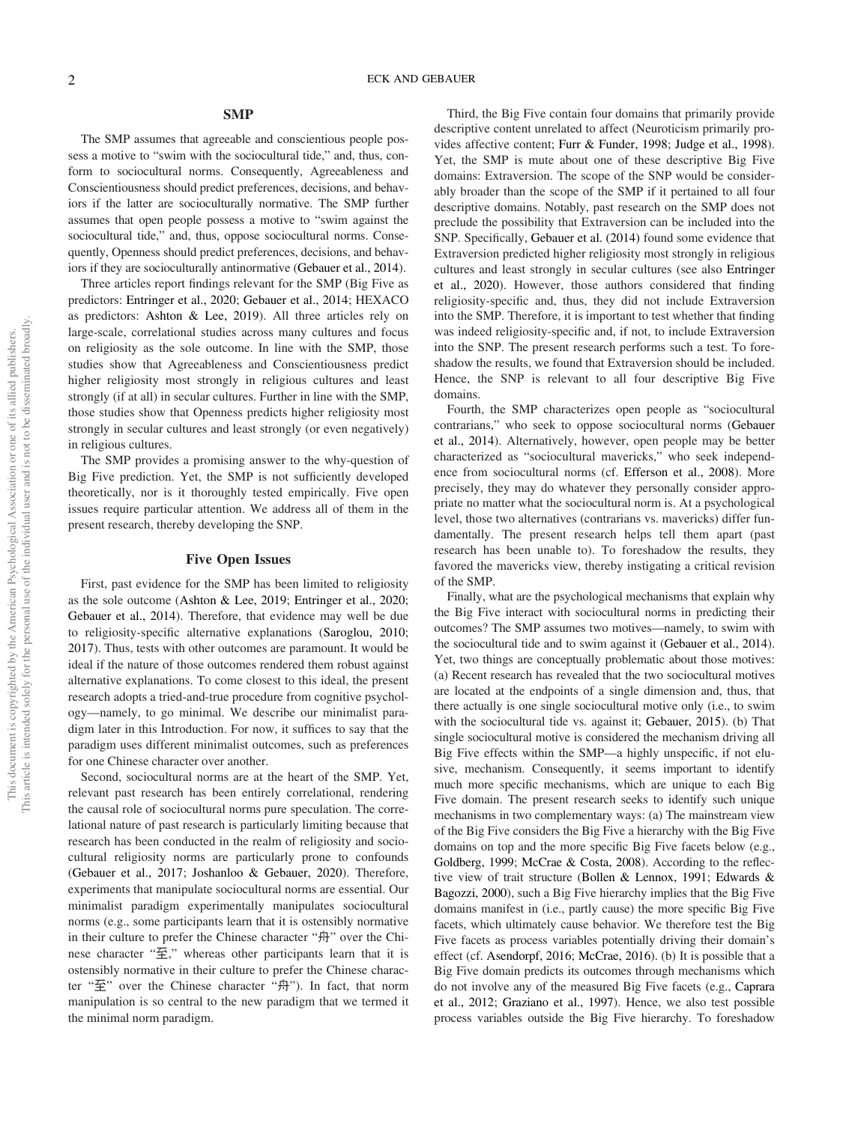#### **SMP**

The SMP assumes that agreeable and conscientious people possess a motive to "swim with the sociocultural tide," and, thus, conform to sociocultural norms. Consequently, Agreeableness and Conscientiousness should predict preferences, decisions, and behaviors if the latter are socioculturally normative. The SMP further assumes that open people possess a motive to "swim against the sociocultural tide," and, thus, oppose sociocultural norms. Consequently, Openness should predict preferences, decisions, and behaviors if they are socioculturally antinormative (Gebauer et al., 2014).

Three articles report findings relevant for the SMP (Big Five as predictors: Entringer et al., 2020; Gebauer et al., 2014; HEXACO as predictors: Ashton & Lee, 2019). All three articles rely on large-scale, correlational studies across many cultures and focus on religiosity as the sole outcome. In line with the SMP, those studies show that Agreeableness and Conscientiousness predict higher religiosity most strongly in religious cultures and least strongly (if at all) in secular cultures. Further in line with the SMP, those studies show that Openness predicts higher religiosity most strongly in secular cultures and least strongly (or even negatively) in religious cultures.

The SMP provides a promising answer to the why-question of Big Five prediction. Yet, the SMP is not sufficiently developed theoretically, nor is it thoroughly tested empirically. Five open issues require particular attention. We address all of them in the present research, thereby developing the SNP.

#### Five Open Issues

First, past evidence for the SMP has been limited to religiosity as the sole outcome (Ashton & Lee, 2019; Entringer et al., 2020; Gebauer et al., 2014). Therefore, that evidence may well be due to religiosity-specific alternative explanations (Saroglou, 2010; 2017). Thus, tests with other outcomes are paramount. It would be ideal if the nature of those outcomes rendered them robust against alternative explanations. To come closest to this ideal, the present research adopts a tried-and-true procedure from cognitive psychology—namely, to go minimal. We describe our minimalist paradigm later in this Introduction. For now, it suffices to say that the paradigm uses different minimalist outcomes, such as preferences for one Chinese character over another.

Second, sociocultural norms are at the heart of the SMP. Yet, relevant past research has been entirely correlational, rendering the causal role of sociocultural norms pure speculation. The correlational nature of past research is particularly limiting because that research has been conducted in the realm of religiosity and sociocultural religiosity norms are particularly prone to confounds (Gebauer et al., 2017; Joshanloo & Gebauer, 2020). Therefore, experiments that manipulate sociocultural norms are essential. Our minimalist paradigm experimentally manipulates sociocultural norms (e.g., some participants learn that it is ostensibly normative in their culture to prefer the Chinese character "舟" over the Chinese character " $\mathcal{F}$ ," whereas other participants learn that it is ostensibly normative in their culture to prefer the Chinese character "至" over the Chinese character "舟"). In fact, that norm manipulation is so central to the new paradigm that we termed it the minimal norm paradigm.

Third, the Big Five contain four domains that primarily provide descriptive content unrelated to affect (Neuroticism primarily provides affective content; Furr & Funder, 1998; Judge et al., 1998). Yet, the SMP is mute about one of these descriptive Big Five domains: Extraversion. The scope of the SNP would be considerably broader than the scope of the SMP if it pertained to all four descriptive domains. Notably, past research on the SMP does not preclude the possibility that Extraversion can be included into the SNP. Specifically, Gebauer et al. (2014) found some evidence that Extraversion predicted higher religiosity most strongly in religious cultures and least strongly in secular cultures (see also Entringer et al., 2020). However, those authors considered that finding religiosity-specific and, thus, they did not include Extraversion into the SMP. Therefore, it is important to test whether that finding was indeed religiosity-specific and, if not, to include Extraversion into the SNP. The present research performs such a test. To foreshadow the results, we found that Extraversion should be included. Hence, the SNP is relevant to all four descriptive Big Five domains.

Fourth, the SMP characterizes open people as "sociocultural contrarians," who seek to oppose sociocultural norms (Gebauer et al., 2014). Alternatively, however, open people may be better characterized as "sociocultural mavericks," who seek independence from sociocultural norms (cf. Efferson et al., 2008). More precisely, they may do whatever they personally consider appropriate no matter what the sociocultural norm is. At a psychological level, those two alternatives (contrarians vs. mavericks) differ fundamentally. The present research helps tell them apart (past research has been unable to). To foreshadow the results, they favored the mavericks view, thereby instigating a critical revision of the SMP.

Finally, what are the psychological mechanisms that explain why the Big Five interact with sociocultural norms in predicting their outcomes? The SMP assumes two motives—namely, to swim with the sociocultural tide and to swim against it (Gebauer et al., 2014). Yet, two things are conceptually problematic about those motives: (a) Recent research has revealed that the two sociocultural motives are located at the endpoints of a single dimension and, thus, that there actually is one single sociocultural motive only (i.e., to swim with the sociocultural tide vs. against it; Gebauer, 2015). (b) That single sociocultural motive is considered the mechanism driving all Big Five effects within the SMP—a highly unspecific, if not elusive, mechanism. Consequently, it seems important to identify much more specific mechanisms, which are unique to each Big Five domain. The present research seeks to identify such unique mechanisms in two complementary ways: (a) The mainstream view of the Big Five considers the Big Five a hierarchy with the Big Five domains on top and the more specific Big Five facets below (e.g., Goldberg, 1999; McCrae & Costa, 2008). According to the reflective view of trait structure (Bollen & Lennox, 1991; Edwards & Bagozzi, 2000), such a Big Five hierarchy implies that the Big Five domains manifest in (i.e., partly cause) the more specific Big Five facets, which ultimately cause behavior. We therefore test the Big Five facets as process variables potentially driving their domain's effect (cf. Asendorpf, 2016; McCrae, 2016). (b) It is possible that a Big Five domain predicts its outcomes through mechanisms which do not involve any of the measured Big Five facets (e.g., Caprara et al., 2012; Graziano et al., 1997). Hence, we also test possible process variables outside the Big Five hierarchy. To foreshadow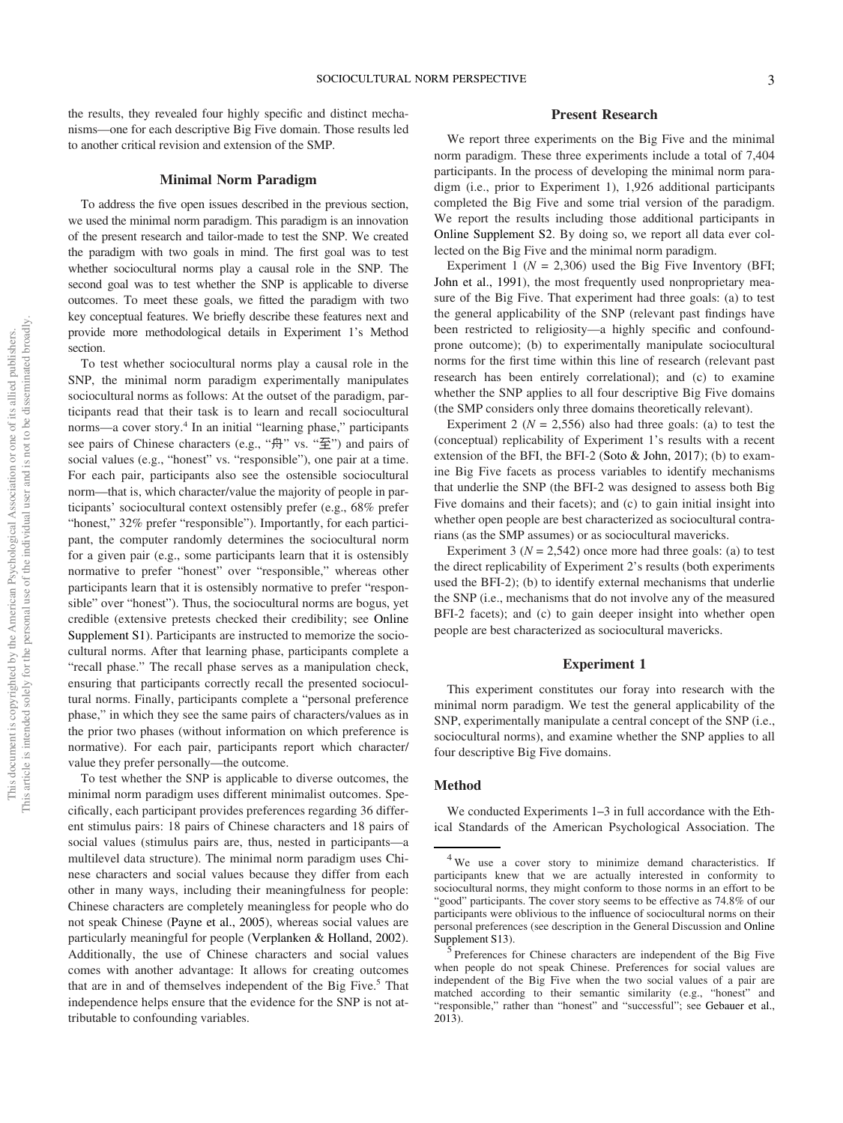the results, they revealed four highly specific and distinct mechanisms—one for each descriptive Big Five domain. Those results led to another critical revision and extension of the SMP.

#### Minimal Norm Paradigm

To address the five open issues described in the previous section, we used the minimal norm paradigm. This paradigm is an innovation of the present research and tailor-made to test the SNP. We created the paradigm with two goals in mind. The first goal was to test whether sociocultural norms play a causal role in the SNP. The second goal was to test whether the SNP is applicable to diverse outcomes. To meet these goals, we fitted the paradigm with two key conceptual features. We briefly describe these features next and provide more methodological details in Experiment 1's Method section.

To test whether sociocultural norms play a causal role in the SNP, the minimal norm paradigm experimentally manipulates sociocultural norms as follows: At the outset of the paradigm, participants read that their task is to learn and recall sociocultural norms—a cover story.<sup>4</sup> In an initial "learning phase," participants see pairs of Chinese characters (e.g., "舟" vs. "至") and pairs of social values (e.g., "honest" vs. "responsible"), one pair at a time. For each pair, participants also see the ostensible sociocultural norm—that is, which character/value the majority of people in participants' sociocultural context ostensibly prefer (e.g., 68% prefer "honest," 32% prefer "responsible"). Importantly, for each participant, the computer randomly determines the sociocultural norm for a given pair (e.g., some participants learn that it is ostensibly normative to prefer "honest" over "responsible," whereas other participants learn that it is ostensibly normative to prefer "responsible" over "honest"). Thus, the sociocultural norms are bogus, yet credible (extensive pretests checked their credibility; see Online Supplement S1). Participants are instructed to memorize the sociocultural norms. After that learning phase, participants complete a "recall phase." The recall phase serves as a manipulation check, ensuring that participants correctly recall the presented sociocultural norms. Finally, participants complete a "personal preference phase," in which they see the same pairs of characters/values as in the prior two phases (without information on which preference is normative). For each pair, participants report which character/ value they prefer personally—the outcome.

To test whether the SNP is applicable to diverse outcomes, the minimal norm paradigm uses different minimalist outcomes. Specifically, each participant provides preferences regarding 36 different stimulus pairs: 18 pairs of Chinese characters and 18 pairs of social values (stimulus pairs are, thus, nested in participants—a multilevel data structure). The minimal norm paradigm uses Chinese characters and social values because they differ from each other in many ways, including their meaningfulness for people: Chinese characters are completely meaningless for people who do not speak Chinese (Payne et al., 2005), whereas social values are particularly meaningful for people (Verplanken & Holland, 2002). Additionally, the use of Chinese characters and social values comes with another advantage: It allows for creating outcomes that are in and of themselves independent of the Big Five.<sup>5</sup> That independence helps ensure that the evidence for the SNP is not attributable to confounding variables.

#### Present Research

We report three experiments on the Big Five and the minimal norm paradigm. These three experiments include a total of 7,404 participants. In the process of developing the minimal norm paradigm (i.e., prior to Experiment 1), 1,926 additional participants completed the Big Five and some trial version of the paradigm. We report the results including those additional participants in Online Supplement S2. By doing so, we report all data ever collected on the Big Five and the minimal norm paradigm.

Experiment 1 ( $N = 2,306$ ) used the Big Five Inventory (BFI; John et al., 1991), the most frequently used nonproprietary measure of the Big Five. That experiment had three goals: (a) to test the general applicability of the SNP (relevant past findings have been restricted to religiosity—a highly specific and confoundprone outcome); (b) to experimentally manipulate sociocultural norms for the first time within this line of research (relevant past research has been entirely correlational); and (c) to examine whether the SNP applies to all four descriptive Big Five domains (the SMP considers only three domains theoretically relevant).

Experiment 2 ( $N = 2,556$ ) also had three goals: (a) to test the (conceptual) replicability of Experiment 1's results with a recent extension of the BFI, the BFI-2 (Soto & John, 2017); (b) to examine Big Five facets as process variables to identify mechanisms that underlie the SNP (the BFI-2 was designed to assess both Big Five domains and their facets); and (c) to gain initial insight into whether open people are best characterized as sociocultural contrarians (as the SMP assumes) or as sociocultural mavericks.

Experiment 3 ( $N = 2,542$ ) once more had three goals: (a) to test the direct replicability of Experiment 2's results (both experiments used the BFI-2); (b) to identify external mechanisms that underlie the SNP (i.e., mechanisms that do not involve any of the measured BFI-2 facets); and (c) to gain deeper insight into whether open people are best characterized as sociocultural mavericks.

#### Experiment 1

This experiment constitutes our foray into research with the minimal norm paradigm. We test the general applicability of the SNP, experimentally manipulate a central concept of the SNP (i.e., sociocultural norms), and examine whether the SNP applies to all four descriptive Big Five domains.

#### Method

We conducted Experiments 1–3 in full accordance with the Ethical Standards of the American Psychological Association. The

 $4$  We use a cover story to minimize demand characteristics. If participants knew that we are actually interested in conformity to sociocultural norms, they might conform to those norms in an effort to be "good" participants. The cover story seems to be effective as 74.8% of our participants were oblivious to the influence of sociocultural norms on their personal preferences (see description in the General Discussion and Online Supplement S13).

<sup>&</sup>lt;sup>5</sup>Preferences for Chinese characters are independent of the Big Five when people do not speak Chinese. Preferences for social values are independent of the Big Five when the two social values of a pair are matched according to their semantic similarity (e.g., "honest" and "responsible," rather than "honest" and "successful"; see Gebauer et al., 2013).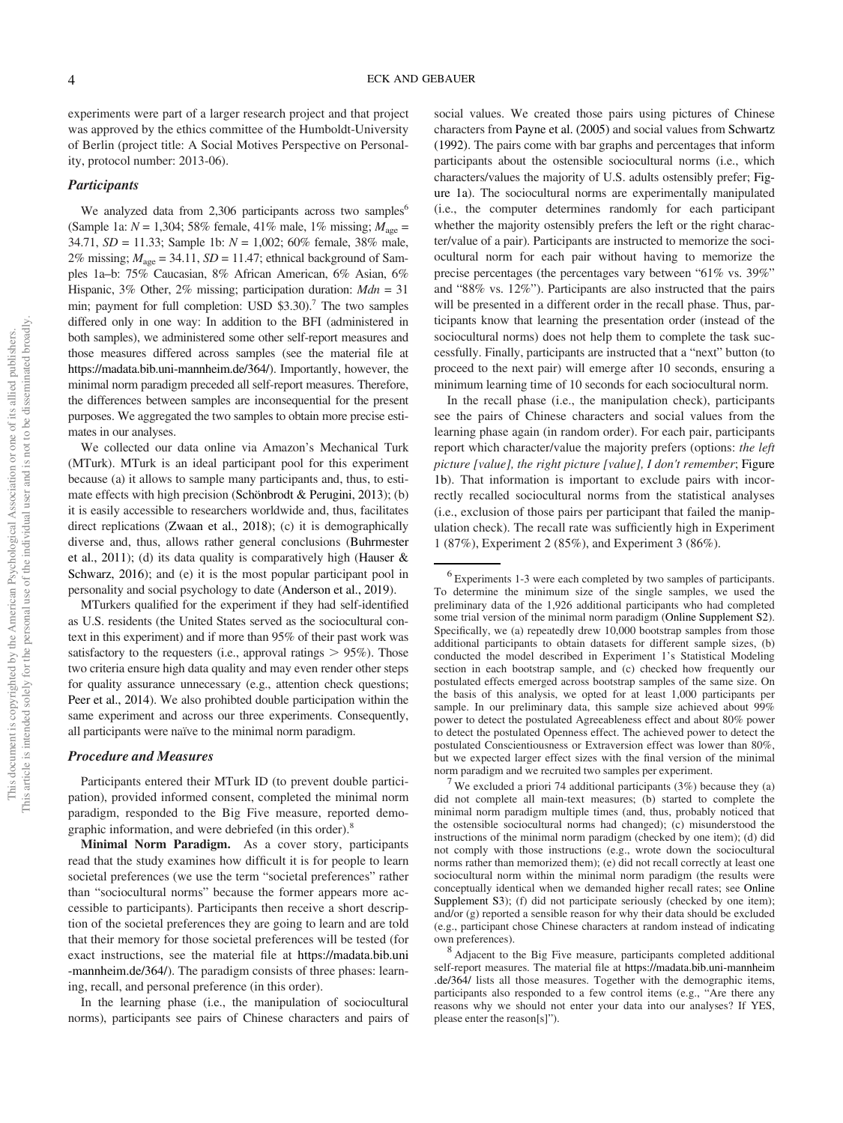experiments were part of a larger research project and that project was approved by the ethics committee of the Humboldt-University of Berlin (project title: A Social Motives Perspective on Personality, protocol number: 2013-06).

#### **Participants**

We analyzed data from  $2,306$  participants across two samples<sup>6</sup> (Sample 1a:  $N = 1,304$ ; 58% female, 41% male, 1% missing;  $M_{\text{age}} =$ 34.71, *SD* = 11.33; Sample 1b: *N* = 1,002; 60% female, 38% male, 2% missing;  $M_{\text{age}} = 34.11$ ,  $SD = 11.47$ ; ethnical background of Samples 1a–b: 75% Caucasian, 8% African American, 6% Asian, 6% Hispanic, 3% Other, 2% missing; participation duration: *Mdn* = 31 min; payment for full completion: USD \$3.30).<sup>7</sup> The two samples differed only in one way: In addition to the BFI (administered in both samples), we administered some other self-report measures and those measures differed across samples (see the material file at https://madata.bib.uni-mannheim.de/364/). Importantly, however, the minimal norm paradigm preceded all self-report measures. Therefore, the differences between samples are inconsequential for the present purposes. We aggregated the two samples to obtain more precise estimates in our analyses.

We collected our data online via Amazon's Mechanical Turk (MTurk). MTurk is an ideal participant pool for this experiment because (a) it allows to sample many participants and, thus, to estimate effects with high precision (Schönbrodt & Perugini, 2013); (b) it is easily accessible to researchers worldwide and, thus, facilitates direct replications (Zwaan et al., 2018); (c) it is demographically diverse and, thus, allows rather general conclusions (Buhrmester et al., 2011); (d) its data quality is comparatively high (Hauser & Schwarz, 2016); and (e) it is the most popular participant pool in personality and social psychology to date (Anderson et al., 2019).

MTurkers qualified for the experiment if they had self-identified as U.S. residents (the United States served as the sociocultural context in this experiment) and if more than 95% of their past work was satisfactory to the requesters (i.e., approval ratings  $> 95\%$ ). Those two criteria ensure high data quality and may even render other steps for quality assurance unnecessary (e.g., attention check questions; Peer et al., 2014). We also prohibted double participation within the same experiment and across our three experiments. Consequently, all participants were naïve to the minimal norm paradigm.

#### Procedure and Measures

Participants entered their MTurk ID (to prevent double participation), provided informed consent, completed the minimal norm paradigm, responded to the Big Five measure, reported demographic information, and were debriefed (in this order).<sup>8</sup>

Minimal Norm Paradigm. As a cover story, participants read that the study examines how difficult it is for people to learn societal preferences (we use the term "societal preferences" rather than "sociocultural norms" because the former appears more accessible to participants). Participants then receive a short description of the societal preferences they are going to learn and are told that their memory for those societal preferences will be tested (for exact instructions, see the material file at https://madata.bib.uni -mannheim.de/364/). The paradigm consists of three phases: learning, recall, and personal preference (in this order).

In the learning phase (i.e., the manipulation of sociocultural norms), participants see pairs of Chinese characters and pairs of

social values. We created those pairs using pictures of Chinese characters from Payne et al. (2005) and social values from Schwartz (1992). The pairs come with bar graphs and percentages that inform participants about the ostensible sociocultural norms (i.e., which characters/values the majority of U.S. adults ostensibly prefer; Figure 1a). The sociocultural norms are experimentally manipulated (i.e., the computer determines randomly for each participant whether the majority ostensibly prefers the left or the right character/value of a pair). Participants are instructed to memorize the sociocultural norm for each pair without having to memorize the precise percentages (the percentages vary between "61% vs. 39%" and "88% vs. 12%"). Participants are also instructed that the pairs will be presented in a different order in the recall phase. Thus, participants know that learning the presentation order (instead of the sociocultural norms) does not help them to complete the task successfully. Finally, participants are instructed that a "next" button (to proceed to the next pair) will emerge after 10 seconds, ensuring a minimum learning time of 10 seconds for each sociocultural norm.

In the recall phase (i.e., the manipulation check), participants see the pairs of Chinese characters and social values from the learning phase again (in random order). For each pair, participants report which character/value the majority prefers (options: *the left picture [value], the right picture [value], I don't remember*; Figure 1b). That information is important to exclude pairs with incorrectly recalled sociocultural norms from the statistical analyses (i.e., exclusion of those pairs per participant that failed the manipulation check). The recall rate was sufficiently high in Experiment 1 (87%), Experiment 2 (85%), and Experiment 3 (86%).

<sup>6</sup> Experiments 1-3 were each completed by two samples of participants. To determine the minimum size of the single samples, we used the preliminary data of the 1,926 additional participants who had completed some trial version of the minimal norm paradigm (Online Supplement S2). Specifically, we (a) repeatedly drew 10,000 bootstrap samples from those additional participants to obtain datasets for different sample sizes, (b) conducted the model described in Experiment 1's Statistical Modeling section in each bootstrap sample, and (c) checked how frequently our postulated effects emerged across bootstrap samples of the same size. On the basis of this analysis, we opted for at least 1,000 participants per sample. In our preliminary data, this sample size achieved about 99% power to detect the postulated Agreeableness effect and about 80% power to detect the postulated Openness effect. The achieved power to detect the postulated Conscientiousness or Extraversion effect was lower than 80%, but we expected larger effect sizes with the final version of the minimal norm paradigm and we recruited two samples per experiment.

 $7$  We excluded a priori 74 additional participants (3%) because they (a) did not complete all main-text measures; (b) started to complete the minimal norm paradigm multiple times (and, thus, probably noticed that the ostensible sociocultural norms had changed); (c) misunderstood the instructions of the minimal norm paradigm (checked by one item); (d) did not comply with those instructions (e.g., wrote down the sociocultural norms rather than memorized them); (e) did not recall correctly at least one sociocultural norm within the minimal norm paradigm (the results were conceptually identical when we demanded higher recall rates; see Online Supplement S3); (f) did not participate seriously (checked by one item); and/or (g) reported a sensible reason for why their data should be excluded (e.g., participant chose Chinese characters at random instead of indicating own preferences).

<sup>&</sup>lt;sup>8</sup> Adjacent to the Big Five measure, participants completed additional self-report measures. The material file at https://madata.bib.uni-mannheim .de/364/ lists all those measures. Together with the demographic items, participants also responded to a few control items (e.g., "Are there any reasons why we should not enter your data into our analyses? If YES, please enter the reason[s]").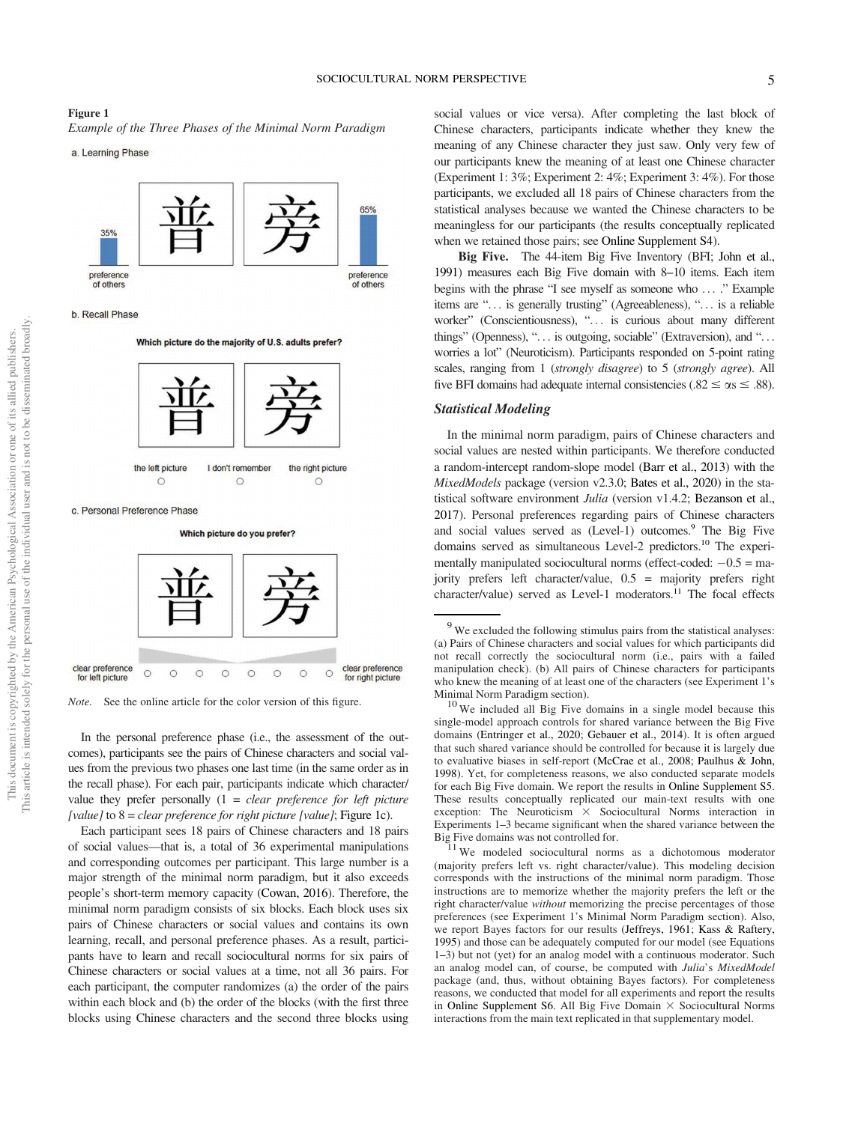### Figure 1 *Example of the Three Phases of the Minimal Norm Paradigm*

a. Learning Phase



b. Recall Phase

Which picture do the majority of U.S. adults prefer?





*Note.* See the online article for the color version of this figure.

In the personal preference phase (i.e., the assessment of the outcomes), participants see the pairs of Chinese characters and social values from the previous two phases one last time (in the same order as in the recall phase). For each pair, participants indicate which character/ value they prefer personally (1 = *clear preference for left picture [value]* to 8 = *clear preference for right picture [value]*; Figure 1c).

Each participant sees 18 pairs of Chinese characters and 18 pairs of social values—that is, a total of 36 experimental manipulations and corresponding outcomes per participant. This large number is a major strength of the minimal norm paradigm, but it also exceeds people's short-term memory capacity (Cowan, 2016). Therefore, the minimal norm paradigm consists of six blocks. Each block uses six pairs of Chinese characters or social values and contains its own learning, recall, and personal preference phases. As a result, participants have to learn and recall sociocultural norms for six pairs of Chinese characters or social values at a time, not all 36 pairs. For each participant, the computer randomizes (a) the order of the pairs within each block and (b) the order of the blocks (with the first three blocks using Chinese characters and the second three blocks using

social values or vice versa). After completing the last block of Chinese characters, participants indicate whether they knew the meaning of any Chinese character they just saw. Only very few of our participants knew the meaning of at least one Chinese character (Experiment 1: 3%; Experiment 2: 4%; Experiment 3: 4%). For those participants, we excluded all 18 pairs of Chinese characters from the statistical analyses because we wanted the Chinese characters to be meaningless for our participants (the results conceptually replicated when we retained those pairs; see Online Supplement S4).

Big Five. The 44-item Big Five Inventory (BFI; John et al., 1991) measures each Big Five domain with 8–10 items. Each item begins with the phrase "I see myself as someone who ... ." Example items are "... is generally trusting" (Agreeableness), "... is a reliable worker" (Conscientiousness), "... is curious about many different things" (Openness), "... is outgoing, sociable" (Extraversion), and "... worries a lot" (Neuroticism). Participants responded on 5-point rating scales, ranging from 1 (*strongly disagree*) to 5 (*strongly agree*). All five BFI domains had adequate internal consistencies (.82  $\leq \alpha s \leq .88$ ).

#### Statistical Modeling

In the minimal norm paradigm, pairs of Chinese characters and social values are nested within participants. We therefore conducted a random-intercept random-slope model (Barr et al., 2013) with the *MixedModels* package (version v2.3.0; Bates et al., 2020) in the statistical software environment *Julia* (version v1.4.2; Bezanson et al., 2017). Personal preferences regarding pairs of Chinese characters and social values served as (Level-1) outcomes.<sup>9</sup> The Big Five domains served as simultaneous Level-2 predictors.<sup>10</sup> The experimentally manipulated sociocultural norms (effect-coded:  $-0.5 =$  majority prefers left character/value, 0.5 = majority prefers right character/value) served as Level-1 moderators.<sup>11</sup> The focal effects

 $11$  We modeled sociocultural norms as a dichotomous moderator (majority prefers left vs. right character/value). This modeling decision corresponds with the instructions of the minimal norm paradigm. Those instructions are to memorize whether the majority prefers the left or the right character/value *without* memorizing the precise percentages of those preferences (see Experiment 1's Minimal Norm Paradigm section). Also, we report Bayes factors for our results (Jeffreys, 1961; Kass & Raftery, 1995) and those can be adequately computed for our model (see Equations 1–3) but not (yet) for an analog model with a continuous moderator. Such an analog model can, of course, be computed with *Julia*'s *MixedModel* package (and, thus, without obtaining Bayes factors). For completeness reasons, we conducted that model for all experiments and report the results in Online Supplement S6. All Big Five Domain  $\times$  Sociocultural Norms interactions from the main text replicated in that supplementary model.

 $9$  We excluded the following stimulus pairs from the statistical analyses: (a) Pairs of Chinese characters and social values for which participants did not recall correctly the sociocultural norm (i.e., pairs with a failed manipulation check). (b) All pairs of Chinese characters for participants who knew the meaning of at least one of the characters (see Experiment 1's Minimal Norm Paradigm section).

 $10$  We included all Big Five domains in a single model because this single-model approach controls for shared variance between the Big Five domains (Entringer et al., 2020; Gebauer et al., 2014). It is often argued that such shared variance should be controlled for because it is largely due to evaluative biases in self-report (McCrae et al., 2008; Paulhus & John, 1998). Yet, for completeness reasons, we also conducted separate models for each Big Five domain. We report the results in Online Supplement S5. These results conceptually replicated our main-text results with one exception: The Neuroticism  $\times$  Sociocultural Norms interaction in Experiments 1–3 became significant when the shared variance between the Big Five domains was not controlled for.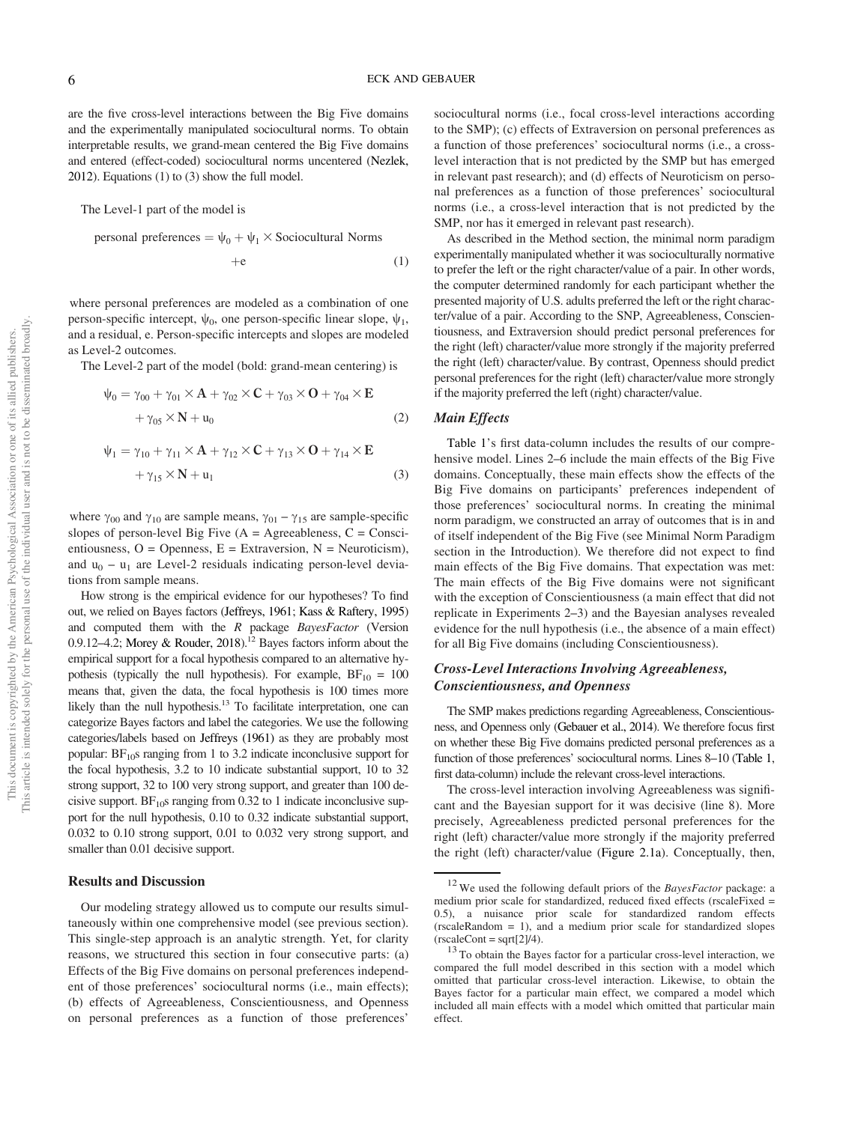are the five cross-level interactions between the Big Five domains and the experimentally manipulated sociocultural norms. To obtain interpretable results, we grand-mean centered the Big Five domains and entered (effect-coded) sociocultural norms uncentered (Nezlek, 2012). Equations (1) to (3) show the full model.

The Level-1 part of the model is

personal preferences =  $\psi_0 + \psi_1 \times$  Sociocultural Norms

$$
+e \qquad \qquad (1)
$$

where personal preferences are modeled as a combination of one person-specific intercept,  $\psi_0$ , one person-specific linear slope,  $\psi_1$ , and a residual, e. Person-specific intercepts and slopes are modeled as Level-2 outcomes.

The Level-2 part of the model (bold: grand-mean centering) is

$$
\psi_0 = \gamma_{00} + \gamma_{01} \times \mathbf{A} + \gamma_{02} \times \mathbf{C} + \gamma_{03} \times \mathbf{O} + \gamma_{04} \times \mathbf{E}
$$
  
+ 
$$
\gamma_{05} \times \mathbf{N} + \mathbf{u}_0
$$
 (2)  

$$
\psi_1 = \gamma_{10} + \gamma_{11} \times \mathbf{A} + \gamma_{12} \times \mathbf{C} + \gamma_{13} \times \mathbf{O} + \gamma_{14} \times \mathbf{E}
$$
  
+ 
$$
\gamma_{15} \times \mathbf{N} + \mathbf{u}_1
$$
 (3)

where  $\gamma_{00}$  and  $\gamma_{10}$  are sample means,  $\gamma_{01} - \gamma_{15}$  are sample-specific slopes of person-level Big Five  $(A = \text{Agreenbeness}, C = \text{Consci-}$ entiousness,  $O =$  Openness,  $E =$  Extraversion,  $N =$  Neuroticism), and  $u_0 - u_1$  are Level-2 residuals indicating person-level deviations from sample means.

How strong is the empirical evidence for our hypotheses? To find out, we relied on Bayes factors (Jeffreys, 1961; Kass & Raftery, 1995) and computed them with the *R* package *BayesFactor* (Version 0.9.12–4.2; Morey & Rouder, 2018).<sup>12</sup> Bayes factors inform about the empirical support for a focal hypothesis compared to an alternative hypothesis (typically the null hypothesis). For example,  $BF_{10} = 100$ means that, given the data, the focal hypothesis is 100 times more likely than the null hypothesis.<sup>13</sup> To facilitate interpretation, one can categorize Bayes factors and label the categories. We use the following categories/labels based on Jeffreys (1961) as they are probably most popular:  $BF<sub>10</sub>s$  ranging from 1 to 3.2 indicate inconclusive support for the focal hypothesis, 3.2 to 10 indicate substantial support, 10 to 32 strong support, 32 to 100 very strong support, and greater than 100 decisive support.  $BF_{10}$ s ranging from 0.32 to 1 indicate inconclusive support for the null hypothesis, 0.10 to 0.32 indicate substantial support, 0.032 to 0.10 strong support, 0.01 to 0.032 very strong support, and smaller than 0.01 decisive support.

#### Results and Discussion

Our modeling strategy allowed us to compute our results simultaneously within one comprehensive model (see previous section). This single-step approach is an analytic strength. Yet, for clarity reasons, we structured this section in four consecutive parts: (a) Effects of the Big Five domains on personal preferences independent of those preferences' sociocultural norms (i.e., main effects); (b) effects of Agreeableness, Conscientiousness, and Openness on personal preferences as a function of those preferences'

sociocultural norms (i.e., focal cross-level interactions according to the SMP); (c) effects of Extraversion on personal preferences as a function of those preferences' sociocultural norms (i.e., a crosslevel interaction that is not predicted by the SMP but has emerged in relevant past research); and (d) effects of Neuroticism on personal preferences as a function of those preferences' sociocultural norms (i.e., a cross-level interaction that is not predicted by the SMP, nor has it emerged in relevant past research).

As described in the Method section, the minimal norm paradigm experimentally manipulated whether it was socioculturally normative to prefer the left or the right character/value of a pair. In other words, the computer determined randomly for each participant whether the presented majority of U.S. adults preferred the left or the right character/value of a pair. According to the SNP, Agreeableness, Conscientiousness, and Extraversion should predict personal preferences for the right (left) character/value more strongly if the majority preferred the right (left) character/value. By contrast, Openness should predict personal preferences for the right (left) character/value more strongly if the majority preferred the left (right) character/value.

#### Main Effects

Table 1's first data-column includes the results of our comprehensive model. Lines 2–6 include the main effects of the Big Five domains. Conceptually, these main effects show the effects of the Big Five domains on participants' preferences independent of those preferences' sociocultural norms. In creating the minimal norm paradigm, we constructed an array of outcomes that is in and of itself independent of the Big Five (see Minimal Norm Paradigm section in the Introduction). We therefore did not expect to find main effects of the Big Five domains. That expectation was met: The main effects of the Big Five domains were not significant with the exception of Conscientiousness (a main effect that did not replicate in Experiments 2–3) and the Bayesian analyses revealed evidence for the null hypothesis (i.e., the absence of a main effect) for all Big Five domains (including Conscientiousness).

#### Cross-Level Interactions Involving Agreeableness, Conscientiousness, and Openness

The SMP makes predictions regarding Agreeableness, Conscientiousness, and Openness only (Gebauer et al., 2014). We therefore focus first on whether these Big Five domains predicted personal preferences as a function of those preferences' sociocultural norms. Lines 8–10 (Table 1, first data-column) include the relevant cross-level interactions.

The cross-level interaction involving Agreeableness was significant and the Bayesian support for it was decisive (line 8). More precisely, Agreeableness predicted personal preferences for the right (left) character/value more strongly if the majority preferred the right (left) character/value (Figure 2.1a). Conceptually, then,

<sup>12</sup> We used the following default priors of the *BayesFactor* package: a medium prior scale for standardized, reduced fixed effects (rscaleFixed = 0.5), a nuisance prior scale for standardized random effects (rscaleRandom = 1), and a medium prior scale for standardized slopes  $(rscaleCont = sqrt[2]/4).$ 

 $13$  To obtain the Bayes factor for a particular cross-level interaction, we compared the full model described in this section with a model which omitted that particular cross-level interaction. Likewise, to obtain the Bayes factor for a particular main effect, we compared a model which included all main effects with a model which omitted that particular main effect.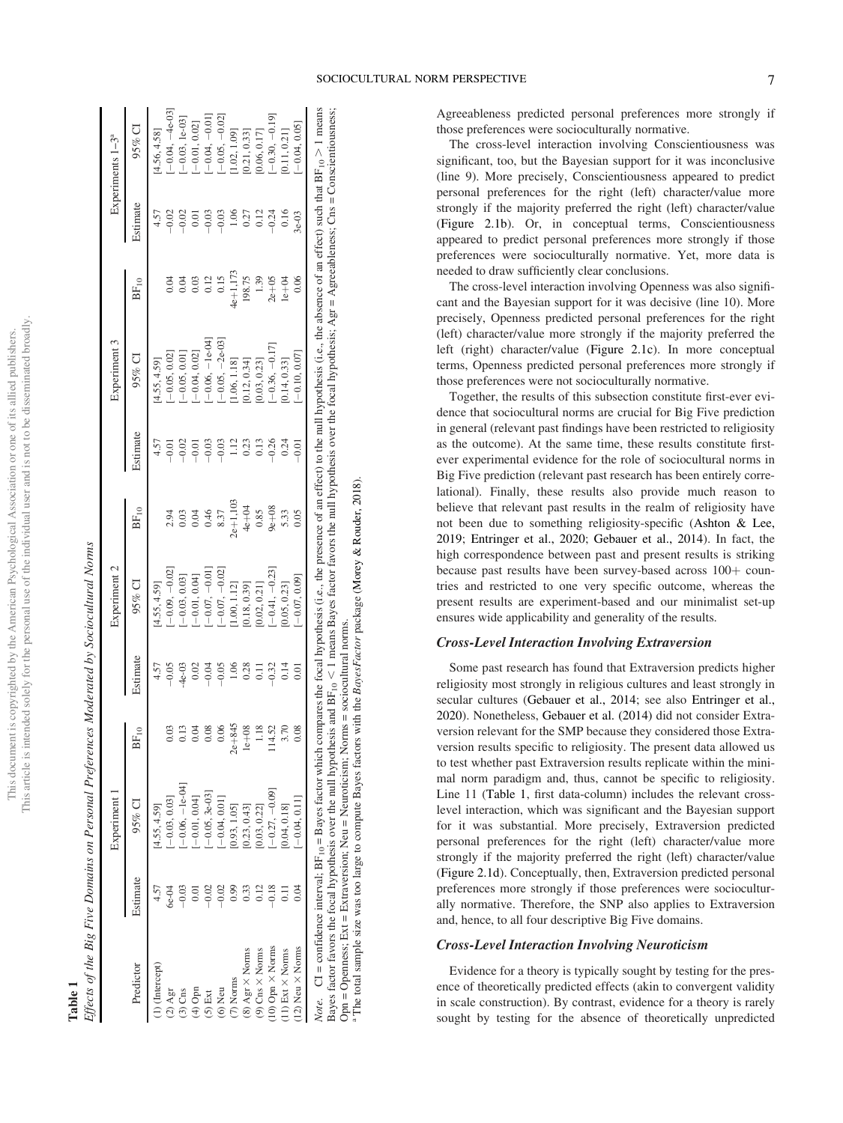| ì<br>i<br>j<br>$\overline{\phantom{a}}$<br>Ï<br>į | ï<br>¢<br>I<br>ł<br>j<br>l    |
|---------------------------------------------------|-------------------------------|
| ١                                                 | Se se<br>١                    |
| ă<br>ì<br>I<br>)<br>ì                             |                               |
| Ï<br>ì<br>ı                                       | J                             |
| E<br>5<br>ì<br>ċ<br>ł                             | $\frac{1}{2}$                 |
| ï<br>3<br>ś                                       |                               |
|                                                   | j<br>í<br>j<br>i              |
| )<br>ì                                            | ł<br>ł                        |
| Ï<br>i<br>J<br>j<br>Ü                             | $\overline{1}$<br>ì<br>í<br>Ï |
| Ë                                                 | ٩<br>į<br>į                   |

**Table 1**<br>Effects of the Big Five Domains on Personal Preferences Moderated by Sociocultural Norms Effects of the Big Five Domains on Personal Preferences Moderated by Sociocultural Norms

|                          |          | Experiment 1                                                                                                                                                                                                           |                          |                  | Experiment 2   |           |               | Experiment 3    |                  |          | Experiments $1-3^a$ |
|--------------------------|----------|------------------------------------------------------------------------------------------------------------------------------------------------------------------------------------------------------------------------|--------------------------|------------------|----------------|-----------|---------------|-----------------|------------------|----------|---------------------|
| Predictor                | Estimate | 95% CI                                                                                                                                                                                                                 | $F_{10}$<br>$\mathbf{z}$ | Estimate         | $95\%$ CI      | $BF_{10}$ | Estimate      | $95\%$ CI       | BF <sub>10</sub> | Estimate | $95\%$ CI           |
| .) (Intercept)           |          | 4.55, 4.59]                                                                                                                                                                                                            |                          | 4.57             | 4.55, 4.59]    |           | 4.57          | 4.55, 4.59      |                  | 4.57     | 4.56, 4.58]         |
| $(2)$ Agr                | $-9-94$  | $-0.03, 0.03]$                                                                                                                                                                                                         | 0.03                     | 0.05             | $-0.09, -0.02$ | 2.94      | $-0.01$       | $-0.05, 0.02$   | 0.04             | $-0.02$  | $-0.04, -4e-03$     |
| $(3)$ Cns                | $-0.03$  | $-0.06, -1e-04$                                                                                                                                                                                                        | 0.13                     | $-4e-03$         | $-0.03, 0.03]$ | 0.03      | $-0.02$       | $-0.05, 0.01$   | 0.04             | $-0.02$  | $-0.03, 1e-03$      |
| $(4)$ Opn                |          | $-0.01, 0.04$                                                                                                                                                                                                          | 0.04                     | 0.02             | $-0.01, 0.04$  | 0.04      | $-0.01$       | $-0.04, 0.02$   | 0.03             | 0.01     | $-0.01, 0.02$       |
| $(5)$ Ext                |          | $-0.05, 3e-03$                                                                                                                                                                                                         | 0.08                     | 9.04             | $-0.07, -0.01$ | 0.46      | $-0.03$       | $-0.06, -1e-04$ | 0.12             | $-0.03$  | $-0.04, -0.01$      |
| $(6)$ Neu                |          | $-0.04, 0.01$                                                                                                                                                                                                          | 0.06                     | $-0.05$          | $-0.07, -0.02$ | 8.37      | $-0.03$       | $-0.05, -2e-03$ | 0.15             | $-0.03$  | $-0.05, -0.02$      |
| 7) Norms                 |          | 0.93, 1.05                                                                                                                                                                                                             | $2e + 845$               | 1.06             | 1.00, 1.12     | $2e+1,10$ | $\frac{1}{2}$ | 1.06, 1.18]     | 4e+1,173         | 1.06     | 1.02, 1.09          |
| $(8)$ Agr $\times$ Norms | 0.33     | 0.23, 0.43                                                                                                                                                                                                             | $1e+08$                  | 0.28             | 0.18, 0.39     | $4e + 04$ | 0.23          | 0.12, 0.34]     | 198.75           | 0.27     | 0.21, 0.33]         |
| $(9)$ Cns $\times$ Norms | 2.12     | 0.03, 0.22                                                                                                                                                                                                             | 1.18                     | $\overline{0}$ . | 0.02, 0.21]    | 0.85      | 0.13          | 0.03, 0.23]     | 1.39             | 0.12     | 0.06, 0.17          |
| 10) Opn × Norms          | 0.18     | $-0.27, -0.09$ ]                                                                                                                                                                                                       | 4.52                     | 0.32             | $-0.41, -0.23$ | $9e + 08$ | $-0.26$       | $-0.36, -0.17$  | $2e+05$          | $-0.24$  | $-0.30, -0.19$ ]    |
| 11) Ext $\times$ Norms   |          | $0.04, 0.18$ ]                                                                                                                                                                                                         | 3.70                     | 0.14             | 0.05, 0.23     | 5.33      | 0.24          | $0.14, 0.33$ ]  | $1e + 04$        | 0.16     | 0.11, 0.21          |
| 12) Neu × Norms          | 0.04     | $-0.04, 0.11$                                                                                                                                                                                                          |                          | 0.01             | $-0.07, 0.09$  | 0.05      | $-0.0$ !      | $-0.10, 0.07$   | 0.06             | $3e-03$  | $-0.04, 0.05$       |
|                          |          | Note. $CI = confidence$ interval; $BF_{10} = Bayes$ factor which compares the focal hypothesis (i.e., the presence of an effect) to the null hypothesis (i.e., the absence of an effect) such that $BF_{10} > 1$ means |                          |                  |                |           |               |                 |                  |          |                     |

> 1 means<br>¤¤ious  $1$  means Bayes factor favors the null hypothesis over the focal hypothesis; Agr = Agreeableness; Cns = Conscientiousness;  $\frac{1}{2}$ Note. CI = confidence interval; BF<sub>10</sub> = Bayes factor which compares the focal hypothesis (i.e., the presence of an effect) of the null hypothesis (i.e., the absence of an effect) such that BF<sub>10</sub> The total sample size was too large to compute Bayes factors with the *BayesFactor* package (Morey & Rouder, 2018). The total sample size was too large to compute Bayes factors with the BayesFactor package (Morey & Rouder, 2018) Opn = Openness; Ext = Extraversion; Neu = Neuroticism; Norms = sociocultural norms. Opn = Openness; Ext = Extraversion; Neu = Neuroticism; Norms = sociocultural norms. ,Bayes factor favors the focal hypothesis over the null hypothesis and  $BF_{10}$ 

Agreeableness predicted personal preferences more strongly if those preferences were socioculturally normative.

The cross-level interaction involving Conscientiousness was significant, too, but the Bayesian support for it was inconclusive (line 9). More precisely, Conscientiousness appeared to predict personal preferences for the right (left) character/value more strongly if the majority preferred the right (left) character/value (Figure 2.1b). Or, in conceptual terms, Conscientiousness appeared to predict personal preferences more strongly if those preferences were socioculturally normative. Yet, more data is needed to draw sufficiently clear conclusions.

The cross-level interaction involving Openness was also significant and the Bayesian support for it was decisive (line 10). More precisely, Openness predicted personal preferences for the right (left) character/value more strongly if the majority preferred the left (right) character/value (Figure 2.1c). In more conceptual terms, Openness predicted personal preferences more strongly if those preferences were not socioculturally normative.

Together, the results of this subsection constitute first-ever evidence that sociocultural norms are crucial for Big Five prediction in general (relevant past findings have been restricted to religiosity as the outcome). At the same time, these results constitute firstever experimental evidence for the role of sociocultural norms in Big Five prediction (relevant past research has been entirely correlational). Finally, these results also provide much reason to believe that relevant past results in the realm of religiosity have not been due to something religiosity-specific (Ashton & Lee, 2019; Entringer et al., 2020; Gebauer et al., 2014). In fact, the high correspondence between past and present results is striking because past results have been survey-based across  $100+$  countries and restricted to one very specific outcome, whereas the present results are experiment-based and our minimalist set-up ensures wide applicability and generality of the results.

#### Cross-Level Interaction Involving Extraversion

Some past research has found that Extraversion predicts higher religiosity most strongly in religious cultures and least strongly in secular cultures (Gebauer et al., 2014; see also Entringer et al., 2020). Nonetheless, Gebauer et al. (2014) did not consider Extraversion relevant for the SMP because they considered those Extraversion results specific to religiosity. The present data allowed us to test whether past Extraversion results replicate within the minimal norm paradigm and, thus, cannot be specific to religiosity. Line 11 (Table 1, first data-column) includes the relevant crosslevel interaction, which was significant and the Bayesian support for it was substantial. More precisely, Extraversion predicted personal preferences for the right (left) character/value more strongly if the majority preferred the right (left) character/value (Figure 2.1d). Conceptually, then, Extraversion predicted personal preferences more strongly if those preferences were socioculturally normative. Therefore, the SNP also applies to Extraversion and, hence, to all four descriptive Big Five domains.

#### Cross-Level Interaction Involving Neuroticism

Evidence for a theory is typically sought by testing for the presence of theoretically predicted effects (akin to convergent validity in scale construction). By contrast, evidence for a theory is rarely sought by testing for the absence of theoretically unpredicted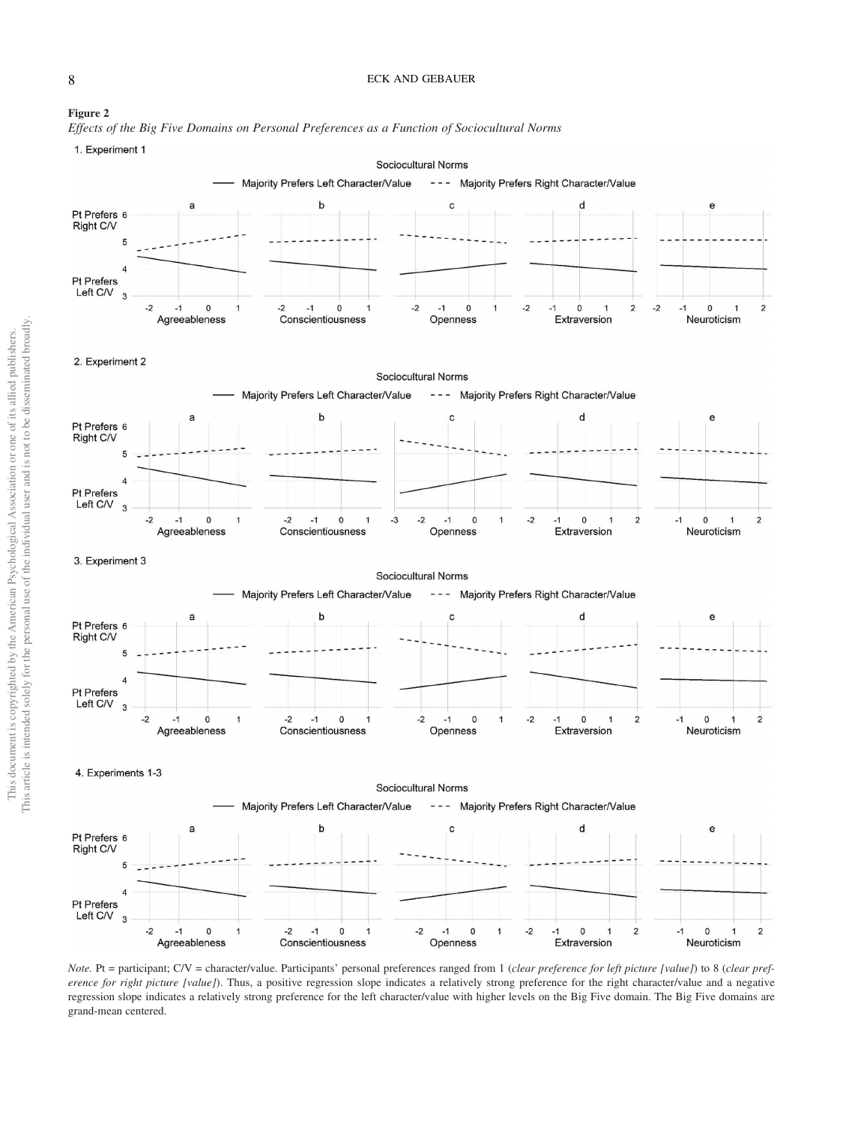#### 8 ECK AND GEBAUER





1. Experiment 1



*Note.* Pt = participant; C/V = character/value. Participants' personal preferences ranged from 1 (*clear preference for left picture [value]*) to 8 (*clear preference for right picture [value]*). Thus, a positive regression slope indicates a relatively strong preference for the right character/value and a negative regression slope indicates a relatively strong preference for the left character/value with higher levels on the Big Five domain. The Big Five domains are grand-mean centered.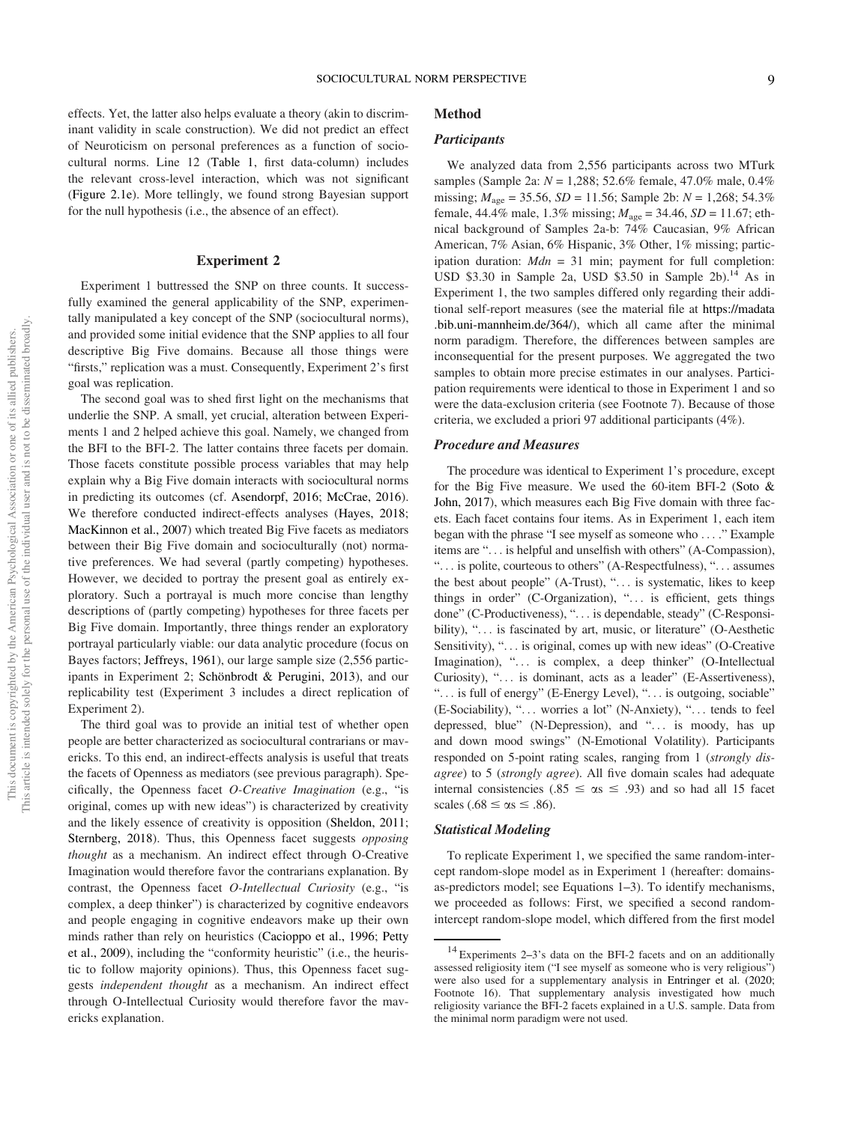effects. Yet, the latter also helps evaluate a theory (akin to discriminant validity in scale construction). We did not predict an effect of Neuroticism on personal preferences as a function of sociocultural norms. Line 12 (Table 1, first data-column) includes the relevant cross-level interaction, which was not significant (Figure 2.1e). More tellingly, we found strong Bayesian support for the null hypothesis (i.e., the absence of an effect).

#### Experiment 2

Experiment 1 buttressed the SNP on three counts. It successfully examined the general applicability of the SNP, experimentally manipulated a key concept of the SNP (sociocultural norms), and provided some initial evidence that the SNP applies to all four descriptive Big Five domains. Because all those things were "firsts," replication was a must. Consequently, Experiment 2's first goal was replication.

The second goal was to shed first light on the mechanisms that underlie the SNP. A small, yet crucial, alteration between Experiments 1 and 2 helped achieve this goal. Namely, we changed from the BFI to the BFI-2. The latter contains three facets per domain. Those facets constitute possible process variables that may help explain why a Big Five domain interacts with sociocultural norms in predicting its outcomes (cf. Asendorpf, 2016; McCrae, 2016). We therefore conducted indirect-effects analyses (Hayes, 2018; MacKinnon et al., 2007) which treated Big Five facets as mediators between their Big Five domain and socioculturally (not) normative preferences. We had several (partly competing) hypotheses. However, we decided to portray the present goal as entirely exploratory. Such a portrayal is much more concise than lengthy descriptions of (partly competing) hypotheses for three facets per Big Five domain. Importantly, three things render an exploratory portrayal particularly viable: our data analytic procedure (focus on Bayes factors; Jeffreys, 1961), our large sample size (2,556 participants in Experiment 2; Schönbrodt & Perugini, 2013), and our replicability test (Experiment 3 includes a direct replication of Experiment 2).

The third goal was to provide an initial test of whether open people are better characterized as sociocultural contrarians or mavericks. To this end, an indirect-effects analysis is useful that treats the facets of Openness as mediators (see previous paragraph). Specifically, the Openness facet *O-Creative Imagination* (e.g., "is original, comes up with new ideas") is characterized by creativity and the likely essence of creativity is opposition (Sheldon, 2011; Sternberg, 2018). Thus, this Openness facet suggests *opposing thought* as a mechanism. An indirect effect through O-Creative Imagination would therefore favor the contrarians explanation. By contrast, the Openness facet *O-Intellectual Curiosity* (e.g., "is complex, a deep thinker") is characterized by cognitive endeavors and people engaging in cognitive endeavors make up their own minds rather than rely on heuristics (Cacioppo et al., 1996; Petty et al., 2009), including the "conformity heuristic" (i.e., the heuristic to follow majority opinions). Thus, this Openness facet suggests *independent thought* as a mechanism. An indirect effect through O-Intellectual Curiosity would therefore favor the mavericks explanation.

#### Method

#### **Participants**

We analyzed data from 2,556 participants across two MTurk samples (Sample 2a: *N* = 1,288; 52.6% female, 47.0% male, 0.4% missing;  $M_{\text{age}} = 35.56$ ,  $SD = 11.56$ ; Sample 2b:  $N = 1,268$ ; 54.3% female,  $44.4\%$  male,  $1.3\%$  missing;  $M_{\text{age}} = 34.46$ ,  $SD = 11.67$ ; ethnical background of Samples 2a-b: 74% Caucasian, 9% African American, 7% Asian, 6% Hispanic, 3% Other, 1% missing; participation duration: *Mdn* = 31 min; payment for full completion: USD \$3.30 in Sample 2a, USD \$3.50 in Sample  $2b$ ).<sup>14</sup> As in Experiment 1, the two samples differed only regarding their additional self-report measures (see the material file at https://madata .bib.uni-mannheim.de/364/), which all came after the minimal norm paradigm. Therefore, the differences between samples are inconsequential for the present purposes. We aggregated the two samples to obtain more precise estimates in our analyses. Participation requirements were identical to those in Experiment 1 and so were the data-exclusion criteria (see Footnote 7). Because of those criteria, we excluded a priori 97 additional participants (4%).

#### Procedure and Measures

The procedure was identical to Experiment 1's procedure, except for the Big Five measure. We used the 60-item BFI-2 (Soto & John, 2017), which measures each Big Five domain with three facets. Each facet contains four items. As in Experiment 1, each item began with the phrase "I see myself as someone who ... ." Example items are "... is helpful and unselfish with others" (A-Compassion), "... is polite, courteous to others" (A-Respectfulness), "... assumes the best about people" (A-Trust), "... is systematic, likes to keep things in order" (C-Organization), "... is efficient, gets things done" (C-Productiveness), "... is dependable, steady" (C-Responsibility), "... is fascinated by art, music, or literature" (O-Aesthetic Sensitivity), "... is original, comes up with new ideas" (O-Creative Imagination), "... is complex, a deep thinker" (O-Intellectual Curiosity), "... is dominant, acts as a leader" (E-Assertiveness), "... is full of energy" (E-Energy Level), "... is outgoing, sociable" (E-Sociability), "... worries a lot" (N-Anxiety), "... tends to feel depressed, blue" (N-Depression), and "... is moody, has up and down mood swings" (N-Emotional Volatility). Participants responded on 5-point rating scales, ranging from 1 (*strongly disagree*) to 5 (*strongly agree*). All five domain scales had adequate internal consistencies (.85  $\leq \alpha s \leq .93$ ) and so had all 15 facet scales (.68  $\leq \alpha$ s  $\leq$  .86).

#### Statistical Modeling

To replicate Experiment 1, we specified the same random-intercept random-slope model as in Experiment 1 (hereafter: domainsas-predictors model; see Equations 1–3). To identify mechanisms, we proceeded as follows: First, we specified a second randomintercept random-slope model, which differed from the first model

 $14$  Experiments 2–3's data on the BFI-2 facets and on an additionally assessed religiosity item ("I see myself as someone who is very religious") were also used for a supplementary analysis in Entringer et al. (2020; Footnote 16). That supplementary analysis investigated how much religiosity variance the BFI-2 facets explained in a U.S. sample. Data from the minimal norm paradigm were not used.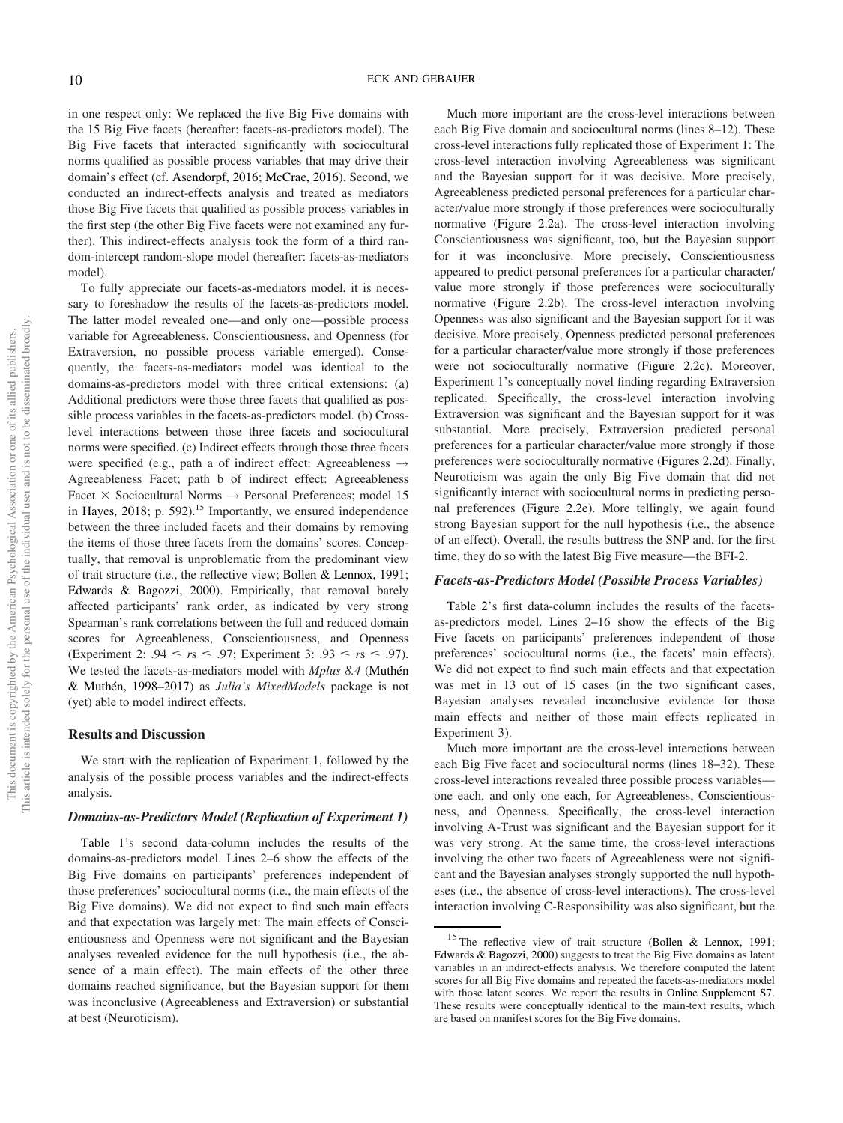in one respect only: We replaced the five Big Five domains with the 15 Big Five facets (hereafter: facets-as-predictors model). The Big Five facets that interacted significantly with sociocultural norms qualified as possible process variables that may drive their domain's effect (cf. Asendorpf, 2016; McCrae, 2016). Second, we conducted an indirect-effects analysis and treated as mediators those Big Five facets that qualified as possible process variables in the first step (the other Big Five facets were not examined any further). This indirect-effects analysis took the form of a third random-intercept random-slope model (hereafter: facets-as-mediators model).

To fully appreciate our facets-as-mediators model, it is necessary to foreshadow the results of the facets-as-predictors model. The latter model revealed one—and only one—possible process variable for Agreeableness, Conscientiousness, and Openness (for Extraversion, no possible process variable emerged). Consequently, the facets-as-mediators model was identical to the domains-as-predictors model with three critical extensions: (a) Additional predictors were those three facets that qualified as possible process variables in the facets-as-predictors model. (b) Crosslevel interactions between those three facets and sociocultural norms were specified. (c) Indirect effects through those three facets were specified (e.g., path a of indirect effect: Agreeableness  $\rightarrow$ Agreeableness Facet; path b of indirect effect: Agreeableness Facet  $\times$  Sociocultural Norms  $\rightarrow$  Personal Preferences; model 15 in Hayes, 2018; p. 592).<sup>15</sup> Importantly, we ensured independence between the three included facets and their domains by removing the items of those three facets from the domains' scores. Conceptually, that removal is unproblematic from the predominant view of trait structure (i.e., the reflective view; Bollen & Lennox, 1991; Edwards & Bagozzi, 2000). Empirically, that removal barely affected participants' rank order, as indicated by very strong Spearman's rank correlations between the full and reduced domain scores for Agreeableness, Conscientiousness, and Openness (Experiment 2: .94  $\leq$  *rs*  $\leq$  .97; Experiment 3: .93  $\leq$  *rs*  $\leq$  .97). We tested the facets-as-mediators model with *Mplus 8.4* (Muthén & Muthén, 1998–2017) as *Julia*'*s MixedModels* package is not (yet) able to model indirect effects.

#### Results and Discussion

We start with the replication of Experiment 1, followed by the analysis of the possible process variables and the indirect-effects analysis.

#### Domains-as-Predictors Model (Replication of Experiment 1)

Table 1's second data-column includes the results of the domains-as-predictors model. Lines 2–6 show the effects of the Big Five domains on participants' preferences independent of those preferences' sociocultural norms (i.e., the main effects of the Big Five domains). We did not expect to find such main effects and that expectation was largely met: The main effects of Conscientiousness and Openness were not significant and the Bayesian analyses revealed evidence for the null hypothesis (i.e., the absence of a main effect). The main effects of the other three domains reached significance, but the Bayesian support for them was inconclusive (Agreeableness and Extraversion) or substantial at best (Neuroticism).

Much more important are the cross-level interactions between each Big Five domain and sociocultural norms (lines 8–12). These cross-level interactions fully replicated those of Experiment 1: The cross-level interaction involving Agreeableness was significant and the Bayesian support for it was decisive. More precisely, Agreeableness predicted personal preferences for a particular character/value more strongly if those preferences were socioculturally normative (Figure 2.2a). The cross-level interaction involving Conscientiousness was significant, too, but the Bayesian support for it was inconclusive. More precisely, Conscientiousness appeared to predict personal preferences for a particular character/ value more strongly if those preferences were socioculturally normative (Figure 2.2b). The cross-level interaction involving Openness was also significant and the Bayesian support for it was decisive. More precisely, Openness predicted personal preferences for a particular character/value more strongly if those preferences were not socioculturally normative (Figure 2.2c). Moreover, Experiment 1's conceptually novel finding regarding Extraversion replicated. Specifically, the cross-level interaction involving Extraversion was significant and the Bayesian support for it was substantial. More precisely, Extraversion predicted personal preferences for a particular character/value more strongly if those preferences were socioculturally normative (Figures 2.2d). Finally, Neuroticism was again the only Big Five domain that did not significantly interact with sociocultural norms in predicting personal preferences (Figure 2.2e). More tellingly, we again found strong Bayesian support for the null hypothesis (i.e., the absence of an effect). Overall, the results buttress the SNP and, for the first time, they do so with the latest Big Five measure—the BFI-2.

#### Facets-as-Predictors Model (Possible Process Variables)

Table 2's first data-column includes the results of the facetsas-predictors model. Lines 2–16 show the effects of the Big Five facets on participants' preferences independent of those preferences' sociocultural norms (i.e., the facets' main effects). We did not expect to find such main effects and that expectation was met in 13 out of 15 cases (in the two significant cases, Bayesian analyses revealed inconclusive evidence for those main effects and neither of those main effects replicated in Experiment 3).

Much more important are the cross-level interactions between each Big Five facet and sociocultural norms (lines 18–32). These cross-level interactions revealed three possible process variables one each, and only one each, for Agreeableness, Conscientiousness, and Openness. Specifically, the cross-level interaction involving A-Trust was significant and the Bayesian support for it was very strong. At the same time, the cross-level interactions involving the other two facets of Agreeableness were not significant and the Bayesian analyses strongly supported the null hypotheses (i.e., the absence of cross-level interactions). The cross-level interaction involving C-Responsibility was also significant, but the

<sup>&</sup>lt;sup>15</sup> The reflective view of trait structure (Bollen & Lennox, 1991; Edwards & Bagozzi, 2000) suggests to treat the Big Five domains as latent variables in an indirect-effects analysis. We therefore computed the latent scores for all Big Five domains and repeated the facets-as-mediators model with those latent scores. We report the results in Online Supplement S7. These results were conceptually identical to the main-text results, which are based on manifest scores for the Big Five domains.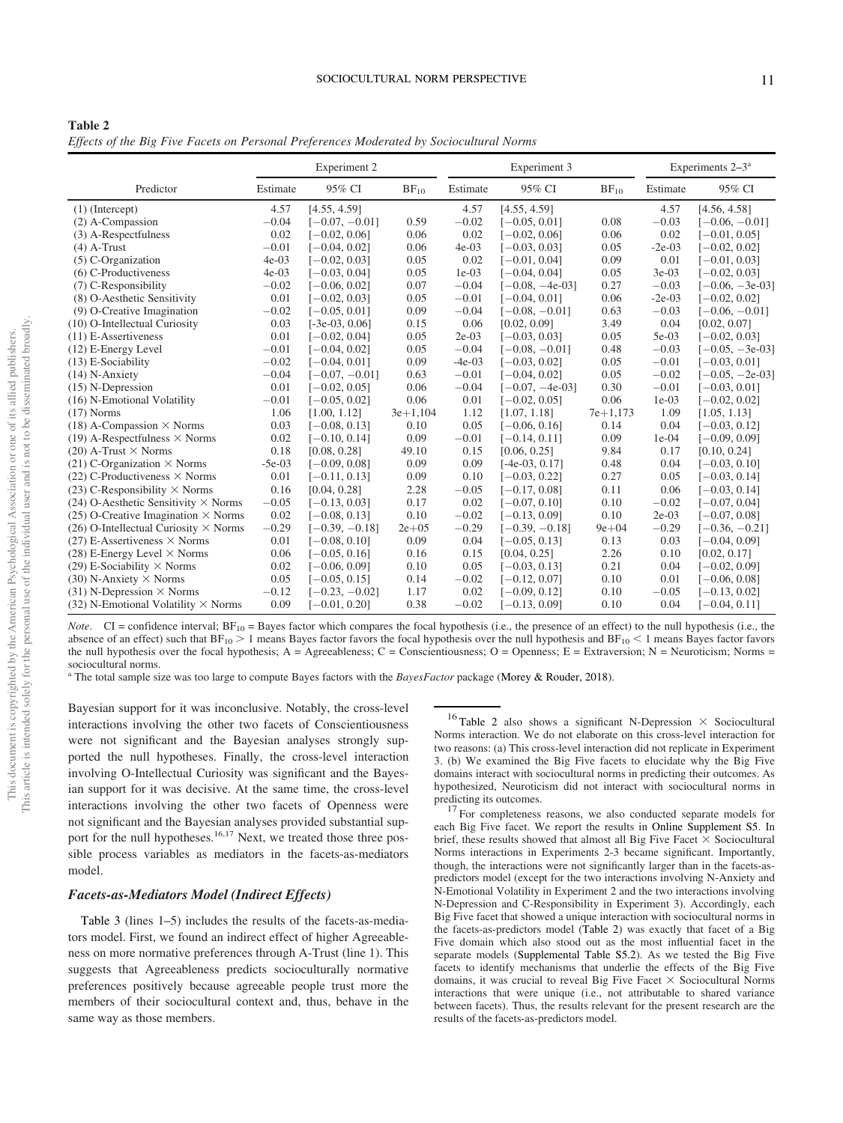| Table 2 |                                                                                         |  |  |  |
|---------|-----------------------------------------------------------------------------------------|--|--|--|
|         | Effects of the Big Five Facets on Personal Preferences Moderated by Sociocultural Norms |  |  |  |

|                                              |          | Experiment 2     |            |          | Experiment 3      |            |          | Experiments 2-3 <sup>a</sup> |
|----------------------------------------------|----------|------------------|------------|----------|-------------------|------------|----------|------------------------------|
| Predictor                                    | Estimate | 95% CI           | $BF_{10}$  | Estimate | 95% CI            | $BF_{10}$  | Estimate | 95% CI                       |
| $(1)$ (Intercept)                            | 4.57     | [4.55, 4.59]     |            | 4.57     | [4.55, 4.59]      |            | 4.57     | [4.56, 4.58]                 |
| (2) A-Compassion                             | $-0.04$  | $[-0.07, -0.01]$ | 0.59       | $-0.02$  | $[-0.05, 0.01]$   | 0.08       | $-0.03$  | $[-0.06, -0.01]$             |
| (3) A-Respectfulness                         | 0.02     | $[-0.02, 0.06]$  | 0.06       | 0.02     | $[-0.02, 0.06]$   | 0.06       | 0.02     | $[-0.01, 0.05]$              |
| $(4)$ A-Trust                                | $-0.01$  | $[-0.04, 0.02]$  | 0.06       | $4e-03$  | $[-0.03, 0.03]$   | 0.05       | $-2e-03$ | $[-0.02, 0.02]$              |
| $(5)$ C-Organization                         | $4e-03$  | $[-0.02, 0.03]$  | 0.05       | 0.02     | $[-0.01, 0.04]$   | 0.09       | 0.01     | $[-0.01, 0.03]$              |
| (6) C-Productiveness                         | $4e-03$  | $[-0.03, 0.04]$  | 0.05       | $1e-03$  | $[-0.04, 0.04]$   | 0.05       | $3e-03$  | $[-0.02, 0.03]$              |
| (7) C-Responsibility                         | $-0.02$  | $[-0.06, 0.02]$  | 0.07       | $-0.04$  | $[-0.08, -4e-03]$ | 0.27       | $-0.03$  | $[-0.06, -3e-03]$            |
| (8) O-Aesthetic Sensitivity                  | 0.01     | $[-0.02, 0.03]$  | 0.05       | $-0.01$  | $[-0.04, 0.01]$   | 0.06       | $-2e-03$ | $[-0.02, 0.02]$              |
| (9) O-Creative Imagination                   | $-0.02$  | $[-0.05, 0.01]$  | 0.09       | $-0.04$  | $[-0.08, -0.01]$  | 0.63       | $-0.03$  | $[-0.06, -0.01]$             |
| (10) O-Intellectual Curiosity                | 0.03     | $[-3e-03, 0.06]$ | 0.15       | 0.06     | [0.02, 0.09]      | 3.49       | 0.04     | [0.02, 0.07]                 |
| $(11)$ E-Assertiveness                       | 0.01     | $[-0.02, 0.04]$  | 0.05       | $2e-03$  | $[-0.03, 0.03]$   | 0.05       | 5e-03    | $[-0.02, 0.03]$              |
| (12) E-Energy Level                          | $-0.01$  | $[-0.04, 0.02]$  | 0.05       | $-0.04$  | $[-0.08, -0.01]$  | 0.48       | $-0.03$  | $[-0.05, -3e-03]$            |
| (13) E-Sociability                           | $-0.02$  | $[-0.04, 0.01]$  | 0.09       | $-4e-03$ | $[-0.03, 0.02]$   | 0.05       | $-0.01$  | $[-0.03, 0.01]$              |
| $(14)$ N-Anxiety                             | $-0.04$  | $[-0.07, -0.01]$ | 0.63       | $-0.01$  | $[-0.04, 0.02]$   | 0.05       | $-0.02$  | $[-0.05, -2e-03]$            |
| $(15)$ N-Depression                          | 0.01     | $[-0.02, 0.05]$  | 0.06       | $-0.04$  | $[-0.07, -4e-03]$ | 0.30       | $-0.01$  | $[-0.03, 0.01]$              |
| (16) N-Emotional Volatility                  | $-0.01$  | $[-0.05, 0.02]$  | 0.06       | 0.01     | $[-0.02, 0.05]$   | 0.06       | $1e-03$  | $[-0.02, 0.02]$              |
| $(17)$ Norms                                 | 1.06     | [1.00, 1.12]     | $3e+1,104$ | 1.12     | [1.07, 1.18]      | $7e+1,173$ | 1.09     | [1.05, 1.13]                 |
| $(18)$ A-Compassion $\times$ Norms           | 0.03     | $[-0.08, 0.13]$  | 0.10       | 0.05     | $[-0.06, 0.16]$   | 0.14       | 0.04     | $[-0.03, 0.12]$              |
| $(19)$ A-Respectfulness $\times$ Norms       | 0.02     | $[-0.10, 0.14]$  | 0.09       | $-0.01$  | $[-0.14, 0.11]$   | 0.09       | $1e-04$  | $[-0.09, 0.09]$              |
| $(20)$ A-Trust $\times$ Norms                | 0.18     | [0.08, 0.28]     | 49.10      | 0.15     | [0.06, 0.25]      | 9.84       | 0.17     | [0.10, 0.24]                 |
| $(21)$ C-Organization $\times$ Norms         | $-5e-03$ | $[-0.09, 0.08]$  | 0.09       | 0.09     | $[-4e-03, 0.17]$  | 0.48       | 0.04     | $[-0.03, 0.10]$              |
| $(22)$ C-Productiveness $\times$ Norms       | 0.01     | $[-0.11, 0.13]$  | 0.09       | 0.10     | $[-0.03, 0.22]$   | 0.27       | 0.05     | $[-0.03, 0.14]$              |
| $(23)$ C-Responsibility $\times$ Norms       | 0.16     | [0.04, 0.28]     | 2.28       | $-0.05$  | $[-0.17, 0.08]$   | 0.11       | 0.06     | $[-0.03, 0.14]$              |
| (24) O-Aesthetic Sensitivity $\times$ Norms  | $-0.05$  | $[-0.13, 0.03]$  | 0.17       | 0.02     | $[-0.07, 0.10]$   | 0.10       | $-0.02$  | $[-0.07, 0.04]$              |
| $(25)$ O-Creative Imagination $\times$ Norms | 0.02     | $[-0.08, 0.13]$  | 0.10       | $-0.02$  | $[-0.13, 0.09]$   | 0.10       | $2e-03$  | $[-0.07, 0.08]$              |
| (26) O-Intellectual Curiosity $\times$ Norms | $-0.29$  | $[-0.39, -0.18]$ | $2e+05$    | $-0.29$  | $[-0.39, -0.18]$  | $9e + 04$  | $-0.29$  | $[-0.36, -0.21]$             |
| $(27)$ E-Assertiveness $\times$ Norms        | 0.01     | $[-0.08, 0.10]$  | 0.09       | 0.04     | $[-0.05, 0.13]$   | 0.13       | 0.03     | $[-0.04, 0.09]$              |
| $(28)$ E-Energy Level $\times$ Norms         | 0.06     | $[-0.05, 0.16]$  | 0.16       | 0.15     | [0.04, 0.25]      | 2.26       | 0.10     | [0.02, 0.17]                 |
| (29) E-Sociability $\times$ Norms            | 0.02     | $[-0.06, 0.09]$  | 0.10       | 0.05     | $[-0.03, 0.13]$   | 0.21       | 0.04     | $[-0.02, 0.09]$              |
| $(30)$ N-Anxiety $\times$ Norms              | 0.05     | $[-0.05, 0.15]$  | 0.14       | $-0.02$  | $[-0.12, 0.07]$   | 0.10       | 0.01     | $[-0.06, 0.08]$              |
| $(31)$ N-Depression $\times$ Norms           | $-0.12$  | $[-0.23, -0.02]$ | 1.17       | 0.02     | $[-0.09, 0.12]$   | 0.10       | $-0.05$  | $[-0.13, 0.02]$              |
| (32) N-Emotional Volatility $\times$ Norms   | 0.09     | $[-0.01, 0.20]$  | 0.38       | $-0.02$  | $[-0.13, 0.09]$   | 0.10       | 0.04     | $[-0.04, 0.11]$              |

*Note*. CI = confidence interval; BF<sub>10</sub> = Bayes factor which compares the focal hypothesis (i.e., the presence of an effect) to the null hypothesis (i.e., the absence of an effect) such that  $BF_{10} > 1$  means Bayes factor favors the focal hypothesis over the null hypothesis and  $BF_{10} < 1$  means Bayes factor favors the null hypothesis over the focal hypothesis; A = Agreeableness; C = Conscientiousness; O = Openness; E = Extraversion; N = Neuroticism; Norms = sociocultural norms.

<sup>a</sup> The total sample size was too large to compute Bayes factors with the *BayesFactor* package (Morey & Rouder, 2018).

Bayesian support for it was inconclusive. Notably, the cross-level interactions involving the other two facets of Conscientiousness were not significant and the Bayesian analyses strongly supported the null hypotheses. Finally, the cross-level interaction involving O-Intellectual Curiosity was significant and the Bayesian support for it was decisive. At the same time, the cross-level interactions involving the other two facets of Openness were not significant and the Bayesian analyses provided substantial support for the null hypotheses.<sup>16,17</sup> Next, we treated those three possible process variables as mediators in the facets-as-mediators model.

#### Facets-as-Mediators Model (Indirect Effects)

Table 3 (lines 1–5) includes the results of the facets-as-mediators model. First, we found an indirect effect of higher Agreeableness on more normative preferences through A-Trust (line 1). This suggests that Agreeableness predicts socioculturally normative preferences positively because agreeable people trust more the members of their sociocultural context and, thus, behave in the same way as those members.

<sup>16</sup> Table 2 also shows a significant N-Depression  $\times$  Sociocultural Norms interaction. We do not elaborate on this cross-level interaction for two reasons: (a) This cross-level interaction did not replicate in Experiment 3. (b) We examined the Big Five facets to elucidate why the Big Five domains interact with sociocultural norms in predicting their outcomes. As hypothesized, Neuroticism did not interact with sociocultural norms in predicting its outcomes.

<sup>17</sup> For completeness reasons, we also conducted separate models for each Big Five facet. We report the results in Online Supplement S5. In brief, these results showed that almost all Big Five Facet  $\times$  Sociocultural Norms interactions in Experiments 2-3 became significant. Importantly, though, the interactions were not significantly larger than in the facets-aspredictors model (except for the two interactions involving N-Anxiety and N-Emotional Volatility in Experiment 2 and the two interactions involving N-Depression and C-Responsibility in Experiment 3). Accordingly, each Big Five facet that showed a unique interaction with sociocultural norms in the facets-as-predictors model (Table 2) was exactly that facet of a Big Five domain which also stood out as the most influential facet in the separate models (Supplemental Table S5.2). As we tested the Big Five facets to identify mechanisms that underlie the effects of the Big Five domains, it was crucial to reveal Big Five Facet  $\times$  Sociocultural Norms interactions that were unique (i.e., not attributable to shared variance between facets). Thus, the results relevant for the present research are the results of the facets-as-predictors model.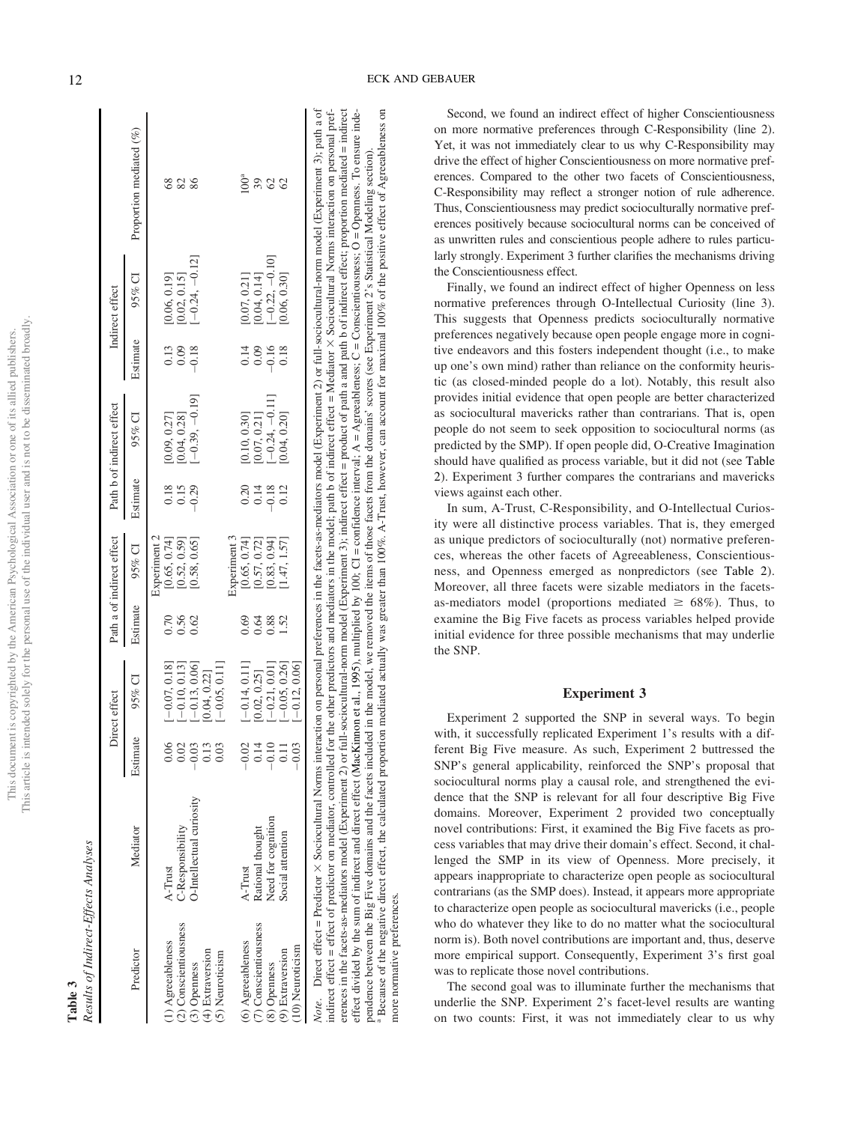| i<br>í        |                      |
|---------------|----------------------|
| ś             |                      |
| ţ<br>ï        |                      |
|               |                      |
| ł             |                      |
|               |                      |
| į             |                      |
|               |                      |
|               |                      |
|               |                      |
|               |                      |
|               |                      |
|               |                      |
|               |                      |
|               |                      |
|               |                      |
|               |                      |
|               |                      |
| j             |                      |
| )             |                      |
|               |                      |
| ï             |                      |
|               |                      |
| Ĺ             |                      |
|               |                      |
|               |                      |
|               |                      |
|               |                      |
|               | l                    |
|               |                      |
|               |                      |
|               | J<br>ì               |
| )             |                      |
| í             |                      |
| ì             |                      |
|               |                      |
|               | I                    |
|               |                      |
|               |                      |
|               |                      |
|               | $\ddot{\phantom{a}}$ |
| $\frac{1}{2}$ |                      |
|               | "his ar"             |
|               | į<br>į               |
|               |                      |

# **Table 3**<br>Results of Indirect-Effects Analyses *Results of Indirect-Effects Analyses*

|                                                |                                 |                            | Direct effect                                                                |                               | Path a of indirect effect                                                    |                                | Path b of indirect effect                                                                  |                                                      | Indirect effect                                                             |                         |
|------------------------------------------------|---------------------------------|----------------------------|------------------------------------------------------------------------------|-------------------------------|------------------------------------------------------------------------------|--------------------------------|--------------------------------------------------------------------------------------------|------------------------------------------------------|-----------------------------------------------------------------------------|-------------------------|
| Predictor                                      | Mediator                        | Estimate                   | 95% CI                                                                       | Estimate                      | 95% CI                                                                       | Estimate                       | 95% CI                                                                                     | Estimate                                             | 95% CI                                                                      | Proportion mediated (%) |
|                                                |                                 |                            |                                                                              |                               | Experiment 2                                                                 |                                |                                                                                            |                                                      |                                                                             |                         |
| 1) Agreeableness                               | $A$ -Trust                      |                            | $-0.07, 0.18$                                                                |                               | [0.65, 0.74]                                                                 |                                |                                                                                            |                                                      |                                                                             | 8                       |
| (2) Conscientiousness                          | '-Responsibility                | 0.06                       | $-0.10, 0.13$                                                                | 2<br>0.50<br>0.0              |                                                                              | $0.18$<br>$0.15$<br>$0.29$     |                                                                                            | $\begin{array}{c} 0.13 \\ 0.08 \\ -0.18 \end{array}$ |                                                                             | 88                      |
| (3) Openness                                   | <b>J-Intellectual curiosity</b> |                            |                                                                              |                               | $[0.52, 0.59]$<br>$[0.58, 0.65]$                                             |                                | $[0.09, 0.27]$<br>$[0.04, 0.28]$<br>$[-0.39, -0.19]$                                       |                                                      | $[0.06, 0.19]$<br>$[0.02, 0.15]$<br>$[-0.24, -0.12]$                        |                         |
| (4) Extraversion                               |                                 | $0.03$<br>$0.03$<br>$0.03$ | $\begin{bmatrix} -0.13, 0.06 \end{bmatrix}$<br>0.04, 0.22]                   |                               |                                                                              |                                |                                                                                            |                                                      |                                                                             |                         |
| (5) Neuroticism                                |                                 |                            | $-0.05, 0.11$                                                                |                               |                                                                              |                                |                                                                                            |                                                      |                                                                             |                         |
|                                                |                                 |                            |                                                                              |                               |                                                                              |                                |                                                                                            |                                                      |                                                                             |                         |
| $(6)$ Agreeableness<br>$(7)$ Conscientiousness | A-Trust                         |                            |                                                                              |                               | Experiment 3<br>[0.65, 0.74]<br>[0.57, 0.72]<br>[0.83, 0.94]<br>[1.47, 1.57] |                                |                                                                                            |                                                      |                                                                             |                         |
|                                                | kational thought                | 811<br>0110<br>000         | $\begin{bmatrix} -0.14, 0.11 ] \ 0.02, 0.25 ] \ -0.21, 0.01 ] \end{bmatrix}$ | 8 3 3 3<br>0 3 3 3<br>0 3 3 4 |                                                                              | $0.148$<br>$0.1812$<br>$0.148$ | $\begin{array}{l} [0.10, 0.30] \ [0.07, 0.21] \ [-0.24, -0.11] \ [0.04, 0.20] \end{array}$ | 148048                                               | $\begin{array}{c} [0.07, 0.21] \ [0.04, 0.14] \ [-0.22, -0.10] \end{array}$ | 39                      |
| (8) Openness                                   | leed for cognition              |                            |                                                                              |                               |                                                                              |                                |                                                                                            |                                                      |                                                                             | 82                      |
| (9) Extraversion                               | ocial attention                 |                            | $-0.05, 0.26$                                                                |                               |                                                                              |                                |                                                                                            |                                                      | 0.06, 0.30]                                                                 |                         |
| .10) Neuroticism                               |                                 | 0.03                       | $-0.12, 0.06$                                                                |                               |                                                                              |                                |                                                                                            |                                                      |                                                                             |                         |

Note. Direct effect = Predictor × Sociocultural Norms interaction on personal preferences in the facets-as-mediators model (Experiment 2) or full-sociocultural-norm model (Experiment 3); path a of Sociocultural Norms interaction on personal preferences in the facets-as-mediators model (Experiment 2) or full-sociocultural-norm model (Experiment 3); path a of indirect effect = effect of predictor on mediator, controlled for the other predictors and mediators in the model; path b of indirect effect = Mediator × Sociocultural Norms interaction on personal preferences in the facets-as-mediators model (Experiment 2) or full-sociocultural-norm model (Experiment 3); indirect effect = product of path a and path b of indirect effect; proportion mediated = indirect  $\sin$  Sociocultural Norms interaction on personal preferences in the facets-as-mediators model (Experiment 2) or full-sociocultural-norm model (Experiment 3); indirect effect = product of path a and path b of indirect effect; proportion mediated = indirect effect divided by the sum of indirect and direct effect (MacKinnon et al., 1995), multiplied by 100; CI = confidence interval:  $A =$  Agreeableness; C = Conscientiousness; O = Openness. To ensure indeeffect divided by the sum of indirect and direct and direct and direct affect (MacKinnon et al., 1995), multiplied by 100; CI = confidence interval; A = Agreeableness; C = Conscientiousness; O = Openness. To ensure inde-<sup>a</sup> Because of the negative direct, the calculated proportion mediated actually was greater than 100%. A-Trust, however, can account for maximal 100% of the positive effect of Agreeableness on Because of the negative direct effect, the calculated proportion mediated actually was greater than 100%. A-Trust, however, can account for maximal 100% of the positive effect of Agreeableness pendence between the Big Five domains and the facets included in the model, we removed the items of those facets from the domains' scores (see Experiment 2's Statistical Modeling section). pendence between the Big Five domains and the facets included in the model, we removed the items of those facets from the domains' scores (see Experiment 2's Statistical Modeling section). indirect effect = effect of predictor on mediator, controlled for the other predictors and mediators in the model; path b of indirect effect = Mediator *Note*. Direct effect = Predictor more normative preferences. more normative preferences.

Second, we found an indirect effect of higher Conscientiousness on more normative preferences through C-Responsibility (line 2). Yet, it was not immediately clear to us why C-Responsibility may drive the effect of higher Conscientiousness on more normative preferences. Compared to the other two facets of Conscientiousness, C-Responsibility may reflect a stronger notion of rule adherence. Thus, Conscientiousness may predict socioculturally normative preferences positively because sociocultural norms can be conceived of as unwritten rules and conscientious people adhere to rules particularly strongly. Experiment 3 further clarifies the mechanisms driving the Conscientiousness effect.

Finally, we found an indirect effect of higher Openness on less normative preferences through O-Intellectual Curiosity (line 3). This suggests that Openness predicts socioculturally normative preferences negatively because open people engage more in cognitive endeavors and this fosters independent thought (i.e., to make up one's own mind) rather than reliance on the conformity heuristic (as closed-minded people do a lot). Notably, this result also provides initial evidence that open people are better characterized as sociocultural mavericks rather than contrarians. That is, open people do not seem to seek opposition to sociocultural norms (as predicted by the SMP). If open people did, O-Creative Imagination should have qualified as process variable, but it did not (see Table 2). Experiment 3 further compares the contrarians and mavericks views against each other.

In sum, A-Trust, C-Responsibility, and O-Intellectual Curiosity were all distinctive process variables. That is, they emerged as unique predictors of socioculturally (not) normative preferences, whereas the other facets of Agreeableness, Conscientiousness, and Openness emerged as nonpredictors (see Table 2). Moreover, all three facets were sizable mediators in the facetsas-mediators model (proportions mediated  $\geq 68\%$ ). Thus, to examine the Big Five facets as process variables helped provide initial evidence for three possible mechanisms that may underlie the SNP.

#### Experiment 3

Experiment 2 supported the SNP in several ways. To begin with, it successfully replicated Experiment 1's results with a different Big Five measure. As such, Experiment 2 buttressed the SNP's general applicability, reinforced the SNP's proposal that sociocultural norms play a causal role, and strengthened the evidence that the SNP is relevant for all four descriptive Big Five domains. Moreover, Experiment 2 provided two conceptually novel contributions: First, it examined the Big Five facets as process variables that may drive their domain's effect. Second, it challenged the SMP in its view of Openness. More precisely, it appears inappropriate to characterize open people as sociocultural contrarians (as the SMP does). Instead, it appears more appropriate to characterize open people as sociocultural mavericks (i.e., people who do whatever they like to do no matter what the sociocultural norm is). Both novel contributions are important and, thus, deserve more empirical support. Consequently, Experiment 3's first goal was to replicate those novel contributions.

The second goal was to illuminate further the mechanisms that underlie the SNP. Experiment 2's facet-level results are wanting on two counts: First, it was not immediately clear to us why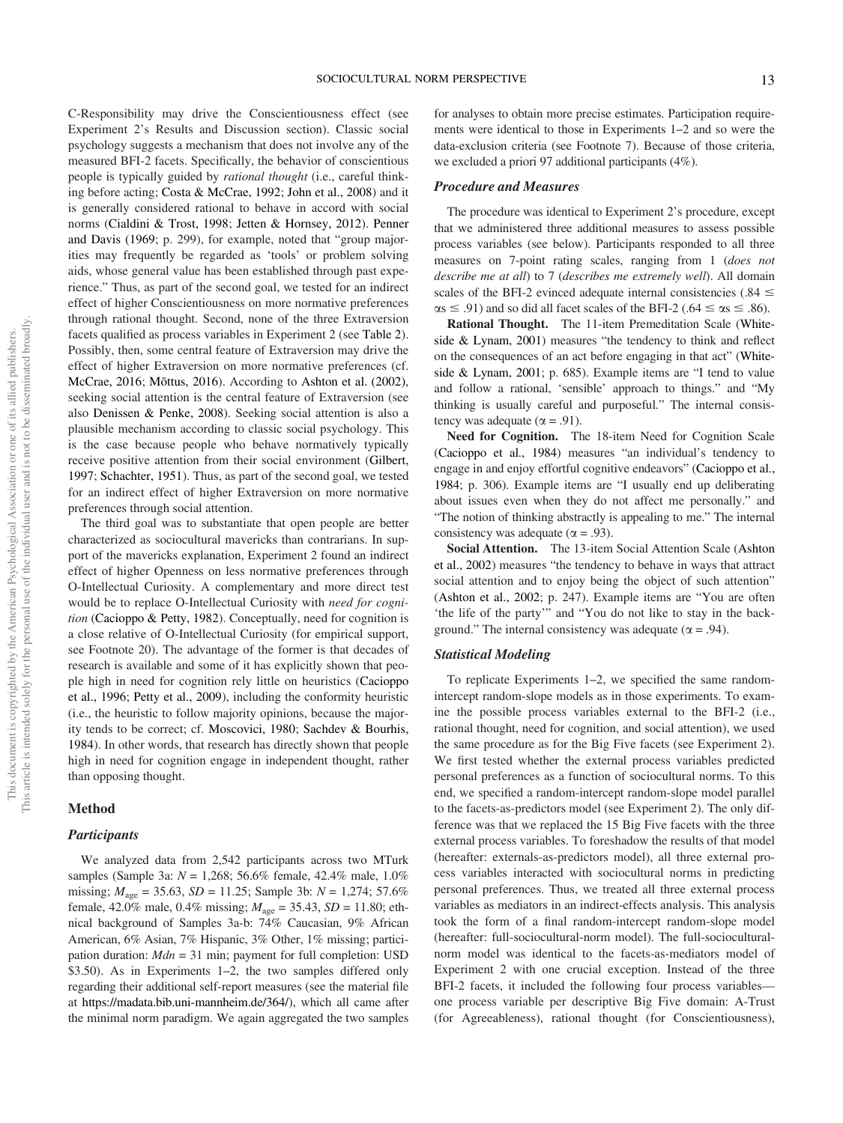people is typically guided by *rational thought* (i.e., careful thinking before acting; Costa & McCrae, 1992; John et al., 2008) and it is generally considered rational to behave in accord with social norms (Cialdini & Trost, 1998; Jetten & Hornsey, 2012). Penner and Davis (1969; p. 299), for example, noted that "group majorities may frequently be regarded as 'tools' or problem solving aids, whose general value has been established through past experience." Thus, as part of the second goal, we tested for an indirect effect of higher Conscientiousness on more normative preferences through rational thought. Second, none of the three Extraversion facets qualified as process variables in Experiment 2 (see Table 2). Possibly, then, some central feature of Extraversion may drive the effect of higher Extraversion on more normative preferences (cf. McCrae, 2016; Mõttus, 2016). According to Ashton et al. (2002), seeking social attention is the central feature of Extraversion (see also Denissen & Penke, 2008). Seeking social attention is also a plausible mechanism according to classic social psychology. This is the case because people who behave normatively typically receive positive attention from their social environment (Gilbert, 1997; Schachter, 1951). Thus, as part of the second goal, we tested for an indirect effect of higher Extraversion on more normative

preferences through social attention.

The third goal was to substantiate that open people are better characterized as sociocultural mavericks than contrarians. In support of the mavericks explanation, Experiment 2 found an indirect effect of higher Openness on less normative preferences through O-Intellectual Curiosity. A complementary and more direct test would be to replace O-Intellectual Curiosity with *need for cognition* (Cacioppo & Petty, 1982). Conceptually, need for cognition is a close relative of O-Intellectual Curiosity (for empirical support, see Footnote 20). The advantage of the former is that decades of research is available and some of it has explicitly shown that people high in need for cognition rely little on heuristics (Cacioppo et al., 1996; Petty et al., 2009), including the conformity heuristic (i.e., the heuristic to follow majority opinions, because the majority tends to be correct; cf. Moscovici, 1980; Sachdev & Bourhis, 1984). In other words, that research has directly shown that people high in need for cognition engage in independent thought, rather than opposing thought.

C-Responsibility may drive the Conscientiousness effect (see Experiment 2's Results and Discussion section). Classic social psychology suggests a mechanism that does not involve any of the measured BFI-2 facets. Specifically, the behavior of conscientious

#### Method

#### **Participants**

We analyzed data from 2,542 participants across two MTurk samples (Sample 3a: *N* = 1,268; 56.6% female, 42.4% male, 1.0% missing; *M*age = 35.63, *SD* = 11.25; Sample 3b: *N* = 1,274; 57.6% female, 42.0% male, 0.4% missing; *M*age = 35.43, *SD* = 11.80; ethnical background of Samples 3a-b: 74% Caucasian, 9% African American, 6% Asian, 7% Hispanic, 3% Other, 1% missing; participation duration: *Mdn* = 31 min; payment for full completion: USD \$3.50). As in Experiments 1–2, the two samples differed only regarding their additional self-report measures (see the material file at https://madata.bib.uni-mannheim.de/364/), which all came after the minimal norm paradigm. We again aggregated the two samples for analyses to obtain more precise estimates. Participation requirements were identical to those in Experiments 1–2 and so were the data-exclusion criteria (see Footnote 7). Because of those criteria, we excluded a priori 97 additional participants (4%).

#### Procedure and Measures

The procedure was identical to Experiment 2's procedure, except that we administered three additional measures to assess possible process variables (see below). Participants responded to all three measures on 7-point rating scales, ranging from 1 (*does not describe me at all*) to 7 (*describes me extremely well*). All domain scales of the BFI-2 evinced adequate internal consistencies (.84  $\leq$  $\alpha s \le .91$ ) and so did all facet scales of the BFI-2 (.64  $\le \alpha s \le .86$ ).

Rational Thought. The 11-item Premeditation Scale (Whiteside & Lynam, 2001) measures "the tendency to think and reflect on the consequences of an act before engaging in that act" (Whiteside & Lynam, 2001; p. 685). Example items are "I tend to value and follow a rational, 'sensible' approach to things." and "My thinking is usually careful and purposeful." The internal consistency was adequate ( $\alpha$  = .91).

Need for Cognition. The 18-item Need for Cognition Scale (Cacioppo et al., 1984) measures "an individual's tendency to engage in and enjoy effortful cognitive endeavors" (Cacioppo et al., 1984; p. 306). Example items are "I usually end up deliberating about issues even when they do not affect me personally." and "The notion of thinking abstractly is appealing to me." The internal consistency was adequate ( $\alpha = .93$ ).

Social Attention. The 13-item Social Attention Scale (Ashton et al., 2002) measures "the tendency to behave in ways that attract social attention and to enjoy being the object of such attention" (Ashton et al., 2002; p. 247). Example items are "You are often 'the life of the party'" and "You do not like to stay in the background." The internal consistency was adequate ( $\alpha$  = .94).

#### Statistical Modeling

To replicate Experiments 1–2, we specified the same randomintercept random-slope models as in those experiments. To examine the possible process variables external to the BFI-2 (i.e., rational thought, need for cognition, and social attention), we used the same procedure as for the Big Five facets (see Experiment 2). We first tested whether the external process variables predicted personal preferences as a function of sociocultural norms. To this end, we specified a random-intercept random-slope model parallel to the facets-as-predictors model (see Experiment 2). The only difference was that we replaced the 15 Big Five facets with the three external process variables. To foreshadow the results of that model (hereafter: externals-as-predictors model), all three external process variables interacted with sociocultural norms in predicting personal preferences. Thus, we treated all three external process variables as mediators in an indirect-effects analysis. This analysis took the form of a final random-intercept random-slope model (hereafter: full-sociocultural-norm model). The full-socioculturalnorm model was identical to the facets-as-mediators model of Experiment 2 with one crucial exception. Instead of the three BFI-2 facets, it included the following four process variables one process variable per descriptive Big Five domain: A-Trust (for Agreeableness), rational thought (for Conscientiousness),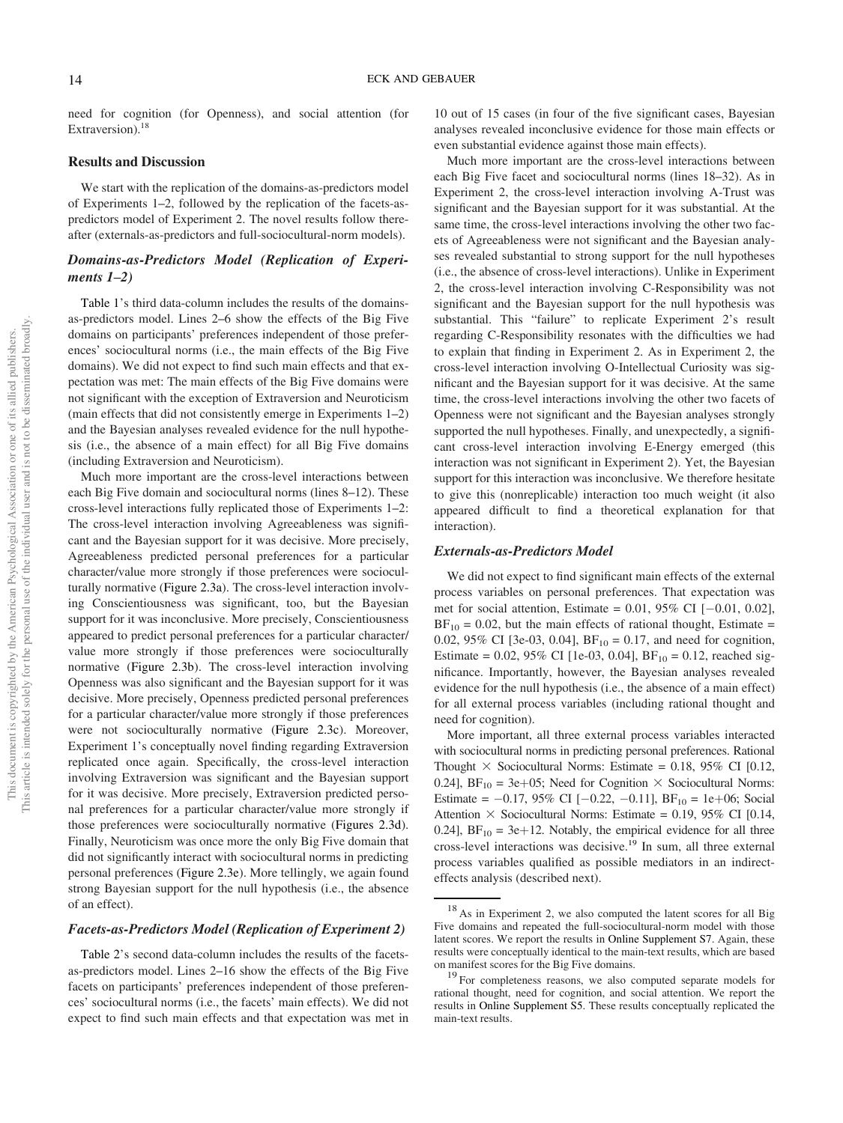need for cognition (for Openness), and social attention (for Extraversion).<sup>18</sup>

#### Results and Discussion

We start with the replication of the domains-as-predictors model of Experiments 1–2, followed by the replication of the facets-aspredictors model of Experiment 2. The novel results follow thereafter (externals-as-predictors and full-sociocultural-norm models).

### Domains-as-Predictors Model (Replication of Experiments  $1-2$ )

Table 1's third data-column includes the results of the domainsas-predictors model. Lines 2–6 show the effects of the Big Five domains on participants' preferences independent of those preferences' sociocultural norms (i.e., the main effects of the Big Five domains). We did not expect to find such main effects and that expectation was met: The main effects of the Big Five domains were not significant with the exception of Extraversion and Neuroticism (main effects that did not consistently emerge in Experiments 1–2) and the Bayesian analyses revealed evidence for the null hypothesis (i.e., the absence of a main effect) for all Big Five domains (including Extraversion and Neuroticism).

Much more important are the cross-level interactions between each Big Five domain and sociocultural norms (lines 8–12). These cross-level interactions fully replicated those of Experiments 1–2: The cross-level interaction involving Agreeableness was significant and the Bayesian support for it was decisive. More precisely, Agreeableness predicted personal preferences for a particular character/value more strongly if those preferences were socioculturally normative (Figure 2.3a). The cross-level interaction involving Conscientiousness was significant, too, but the Bayesian support for it was inconclusive. More precisely, Conscientiousness appeared to predict personal preferences for a particular character/ value more strongly if those preferences were socioculturally normative (Figure 2.3b). The cross-level interaction involving Openness was also significant and the Bayesian support for it was decisive. More precisely, Openness predicted personal preferences for a particular character/value more strongly if those preferences were not socioculturally normative (Figure 2.3c). Moreover, Experiment 1's conceptually novel finding regarding Extraversion replicated once again. Specifically, the cross-level interaction involving Extraversion was significant and the Bayesian support for it was decisive. More precisely, Extraversion predicted personal preferences for a particular character/value more strongly if those preferences were socioculturally normative (Figures 2.3d). Finally, Neuroticism was once more the only Big Five domain that did not significantly interact with sociocultural norms in predicting personal preferences (Figure 2.3e). More tellingly, we again found strong Bayesian support for the null hypothesis (i.e., the absence of an effect).

#### Facets-as-Predictors Model (Replication of Experiment 2)

Table 2's second data-column includes the results of the facetsas-predictors model. Lines 2–16 show the effects of the Big Five facets on participants' preferences independent of those preferences' sociocultural norms (i.e., the facets' main effects). We did not expect to find such main effects and that expectation was met in

10 out of 15 cases (in four of the five significant cases, Bayesian analyses revealed inconclusive evidence for those main effects or even substantial evidence against those main effects).

Much more important are the cross-level interactions between each Big Five facet and sociocultural norms (lines 18–32). As in Experiment 2, the cross-level interaction involving A-Trust was significant and the Bayesian support for it was substantial. At the same time, the cross-level interactions involving the other two facets of Agreeableness were not significant and the Bayesian analyses revealed substantial to strong support for the null hypotheses (i.e., the absence of cross-level interactions). Unlike in Experiment 2, the cross-level interaction involving C-Responsibility was not significant and the Bayesian support for the null hypothesis was substantial. This "failure" to replicate Experiment 2's result regarding C-Responsibility resonates with the difficulties we had to explain that finding in Experiment 2. As in Experiment 2, the cross-level interaction involving O-Intellectual Curiosity was significant and the Bayesian support for it was decisive. At the same time, the cross-level interactions involving the other two facets of Openness were not significant and the Bayesian analyses strongly supported the null hypotheses. Finally, and unexpectedly, a significant cross-level interaction involving E-Energy emerged (this interaction was not significant in Experiment 2). Yet, the Bayesian support for this interaction was inconclusive. We therefore hesitate to give this (nonreplicable) interaction too much weight (it also appeared difficult to find a theoretical explanation for that interaction).

#### Externals-as-Predictors Model

We did not expect to find significant main effects of the external process variables on personal preferences. That expectation was met for social attention, Estimate =  $0.01$ ,  $95\%$  CI [-0.01, 0.02],  $BF_{10} = 0.02$ , but the main effects of rational thought, Estimate = 0.02, 95% CI [3e-03, 0.04],  $BF_{10} = 0.17$ , and need for cognition, Estimate = 0.02, 95% CI [1e-03, 0.04],  $BF_{10} = 0.12$ , reached significance. Importantly, however, the Bayesian analyses revealed evidence for the null hypothesis (i.e., the absence of a main effect) for all external process variables (including rational thought and need for cognition).

More important, all three external process variables interacted with sociocultural norms in predicting personal preferences. Rational Thought  $\times$  Sociocultural Norms: Estimate = 0.18, 95% CI [0.12, 0.24],  $BF_{10} = 3e+05$ ; Need for Cognition  $\times$  Sociocultural Norms: Estimate =  $-0.17$ , 95% CI [ $-0.22$ ,  $-0.11$ ], BF<sub>10</sub> = 1e+06; Social Attention  $\times$  Sociocultural Norms: Estimate = 0.19, 95% CI [0.14, 0.24],  $BF_{10} = 3e+12$ . Notably, the empirical evidence for all three cross-level interactions was decisive.<sup>19</sup> In sum, all three external process variables qualified as possible mediators in an indirecteffects analysis (described next).

<sup>18</sup> As in Experiment 2, we also computed the latent scores for all Big Five domains and repeated the full-sociocultural-norm model with those latent scores. We report the results in Online Supplement S7. Again, these results were conceptually identical to the main-text results, which are based on manifest scores for the Big Five domains.

<sup>&</sup>lt;sup>19</sup> For completeness reasons, we also computed separate models for rational thought, need for cognition, and social attention. We report the results in Online Supplement S5. These results conceptually replicated the main-text results.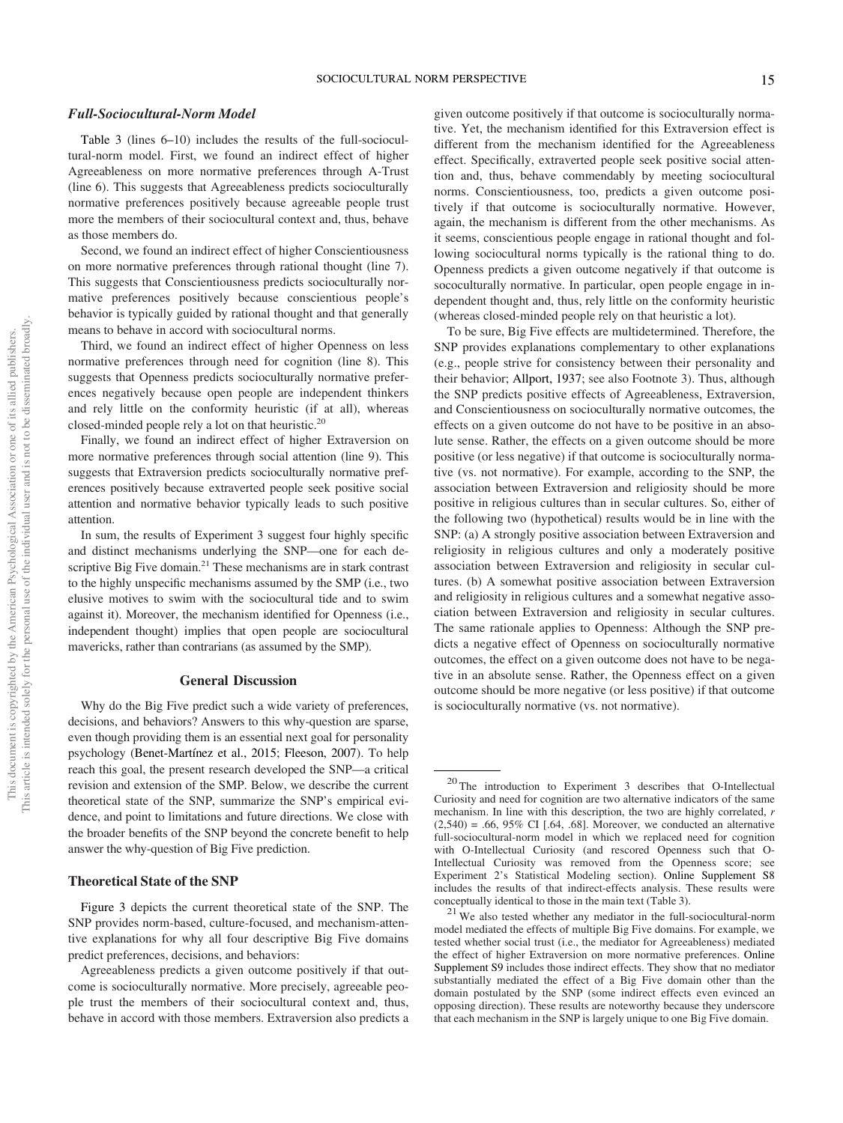#### Full-Sociocultural-Norm Model

Table 3 (lines 6–10) includes the results of the full-sociocultural-norm model. First, we found an indirect effect of higher Agreeableness on more normative preferences through A-Trust (line 6). This suggests that Agreeableness predicts socioculturally normative preferences positively because agreeable people trust more the members of their sociocultural context and, thus, behave as those members do.

Second, we found an indirect effect of higher Conscientiousness on more normative preferences through rational thought (line 7). This suggests that Conscientiousness predicts socioculturally normative preferences positively because conscientious people's behavior is typically guided by rational thought and that generally means to behave in accord with sociocultural norms.

Third, we found an indirect effect of higher Openness on less normative preferences through need for cognition (line 8). This suggests that Openness predicts socioculturally normative preferences negatively because open people are independent thinkers and rely little on the conformity heuristic (if at all), whereas closed-minded people rely a lot on that heuristic.<sup>20</sup>

Finally, we found an indirect effect of higher Extraversion on more normative preferences through social attention (line 9). This suggests that Extraversion predicts socioculturally normative preferences positively because extraverted people seek positive social attention and normative behavior typically leads to such positive attention.

In sum, the results of Experiment 3 suggest four highly specific and distinct mechanisms underlying the SNP—one for each descriptive Big Five domain.<sup>21</sup> These mechanisms are in stark contrast to the highly unspecific mechanisms assumed by the SMP (i.e., two elusive motives to swim with the sociocultural tide and to swim against it). Moreover, the mechanism identified for Openness (i.e., independent thought) implies that open people are sociocultural mavericks, rather than contrarians (as assumed by the SMP).

#### General Discussion

Why do the Big Five predict such a wide variety of preferences, decisions, and behaviors? Answers to this why-question are sparse, even though providing them is an essential next goal for personality psychology (Benet-Martínez et al., 2015; Fleeson, 2007). To help reach this goal, the present research developed the SNP—a critical revision and extension of the SMP. Below, we describe the current theoretical state of the SNP, summarize the SNP's empirical evidence, and point to limitations and future directions. We close with the broader benefits of the SNP beyond the concrete benefit to help answer the why-question of Big Five prediction.

#### Theoretical State of the SNP

Figure 3 depicts the current theoretical state of the SNP. The SNP provides norm-based, culture-focused, and mechanism-attentive explanations for why all four descriptive Big Five domains predict preferences, decisions, and behaviors:

given outcome positively if that outcome is socioculturally normative. Yet, the mechanism identified for this Extraversion effect is different from the mechanism identified for the Agreeableness effect. Specifically, extraverted people seek positive social attention and, thus, behave commendably by meeting sociocultural norms. Conscientiousness, too, predicts a given outcome positively if that outcome is socioculturally normative. However, again, the mechanism is different from the other mechanisms. As it seems, conscientious people engage in rational thought and following sociocultural norms typically is the rational thing to do. Openness predicts a given outcome negatively if that outcome is sococulturally normative. In particular, open people engage in independent thought and, thus, rely little on the conformity heuristic (whereas closed-minded people rely on that heuristic a lot).

To be sure, Big Five effects are multidetermined. Therefore, the SNP provides explanations complementary to other explanations (e.g., people strive for consistency between their personality and their behavior; Allport, 1937; see also Footnote 3). Thus, although the SNP predicts positive effects of Agreeableness, Extraversion, and Conscientiousness on socioculturally normative outcomes, the effects on a given outcome do not have to be positive in an absolute sense. Rather, the effects on a given outcome should be more positive (or less negative) if that outcome is socioculturally normative (vs. not normative). For example, according to the SNP, the association between Extraversion and religiosity should be more positive in religious cultures than in secular cultures. So, either of the following two (hypothetical) results would be in line with the SNP: (a) A strongly positive association between Extraversion and religiosity in religious cultures and only a moderately positive association between Extraversion and religiosity in secular cultures. (b) A somewhat positive association between Extraversion and religiosity in religious cultures and a somewhat negative association between Extraversion and religiosity in secular cultures. The same rationale applies to Openness: Although the SNP predicts a negative effect of Openness on socioculturally normative outcomes, the effect on a given outcome does not have to be negative in an absolute sense. Rather, the Openness effect on a given outcome should be more negative (or less positive) if that outcome is socioculturally normative (vs. not normative).

Agreeableness predicts a given outcome positively if that outcome is socioculturally normative. More precisely, agreeable people trust the members of their sociocultural context and, thus, behave in accord with those members. Extraversion also predicts a

<sup>20</sup> The introduction to Experiment 3 describes that O-Intellectual Curiosity and need for cognition are two alternative indicators of the same mechanism. In line with this description, the two are highly correlated, *r*  $(2,540) = .66, 95\%$  CI [.64, .68]. Moreover, we conducted an alternative full-sociocultural-norm model in which we replaced need for cognition with O-Intellectual Curiosity (and rescored Openness such that O-Intellectual Curiosity was removed from the Openness score; see Experiment 2's Statistical Modeling section). Online Supplement S8 includes the results of that indirect-effects analysis. These results were conceptually identical to those in the main text (Table 3).

 $21$  We also tested whether any mediator in the full-sociocultural-norm model mediated the effects of multiple Big Five domains. For example, we tested whether social trust (i.e., the mediator for Agreeableness) mediated the effect of higher Extraversion on more normative preferences. Online Supplement S9 includes those indirect effects. They show that no mediator substantially mediated the effect of a Big Five domain other than the domain postulated by the SNP (some indirect effects even evinced an opposing direction). These results are noteworthy because they underscore that each mechanism in the SNP is largely unique to one Big Five domain.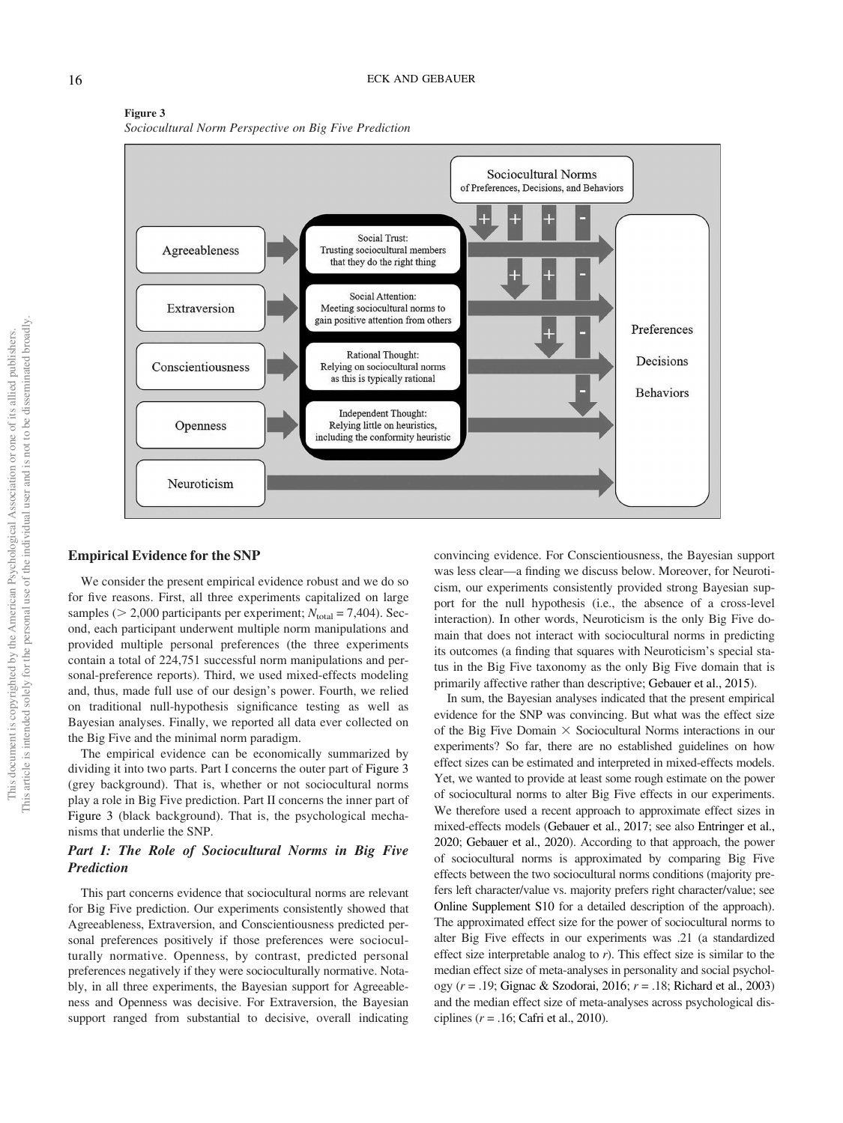

#### Figure 3 *Sociocultural Norm Perspective on Big Five Prediction*

#### Empirical Evidence for the SNP

We consider the present empirical evidence robust and we do so for five reasons. First, all three experiments capitalized on large samples ( $> 2,000$  participants per experiment;  $N_{total} = 7,404$ ). Second, each participant underwent multiple norm manipulations and provided multiple personal preferences (the three experiments contain a total of 224,751 successful norm manipulations and personal-preference reports). Third, we used mixed-effects modeling and, thus, made full use of our design's power. Fourth, we relied on traditional null-hypothesis significance testing as well as Bayesian analyses. Finally, we reported all data ever collected on the Big Five and the minimal norm paradigm.

The empirical evidence can be economically summarized by dividing it into two parts. Part I concerns the outer part of Figure 3 (grey background). That is, whether or not sociocultural norms play a role in Big Five prediction. Part II concerns the inner part of Figure 3 (black background). That is, the psychological mechanisms that underlie the SNP.

### Part I: The Role of Sociocultural Norms in Big Five Prediction

This part concerns evidence that sociocultural norms are relevant for Big Five prediction. Our experiments consistently showed that Agreeableness, Extraversion, and Conscientiousness predicted personal preferences positively if those preferences were socioculturally normative. Openness, by contrast, predicted personal preferences negatively if they were socioculturally normative. Notably, in all three experiments, the Bayesian support for Agreeableness and Openness was decisive. For Extraversion, the Bayesian support ranged from substantial to decisive, overall indicating convincing evidence. For Conscientiousness, the Bayesian support was less clear—a finding we discuss below. Moreover, for Neuroticism, our experiments consistently provided strong Bayesian support for the null hypothesis (i.e., the absence of a cross-level interaction). In other words, Neuroticism is the only Big Five domain that does not interact with sociocultural norms in predicting its outcomes (a finding that squares with Neuroticism's special status in the Big Five taxonomy as the only Big Five domain that is primarily affective rather than descriptive; Gebauer et al., 2015).

In sum, the Bayesian analyses indicated that the present empirical evidence for the SNP was convincing. But what was the effect size of the Big Five Domain  $\times$  Sociocultural Norms interactions in our experiments? So far, there are no established guidelines on how effect sizes can be estimated and interpreted in mixed-effects models. Yet, we wanted to provide at least some rough estimate on the power of sociocultural norms to alter Big Five effects in our experiments. We therefore used a recent approach to approximate effect sizes in mixed-effects models (Gebauer et al., 2017; see also Entringer et al., 2020; Gebauer et al., 2020). According to that approach, the power of sociocultural norms is approximated by comparing Big Five effects between the two sociocultural norms conditions (majority prefers left character/value vs. majority prefers right character/value; see Online Supplement S10 for a detailed description of the approach). The approximated effect size for the power of sociocultural norms to alter Big Five effects in our experiments was .21 (a standardized effect size interpretable analog to *r*). This effect size is similar to the median effect size of meta-analyses in personality and social psychology (*r* = .19; Gignac & Szodorai, 2016; *r* = .18; Richard et al., 2003) and the median effect size of meta-analyses across psychological disciplines (*r* = .16; Cafri et al., 2010).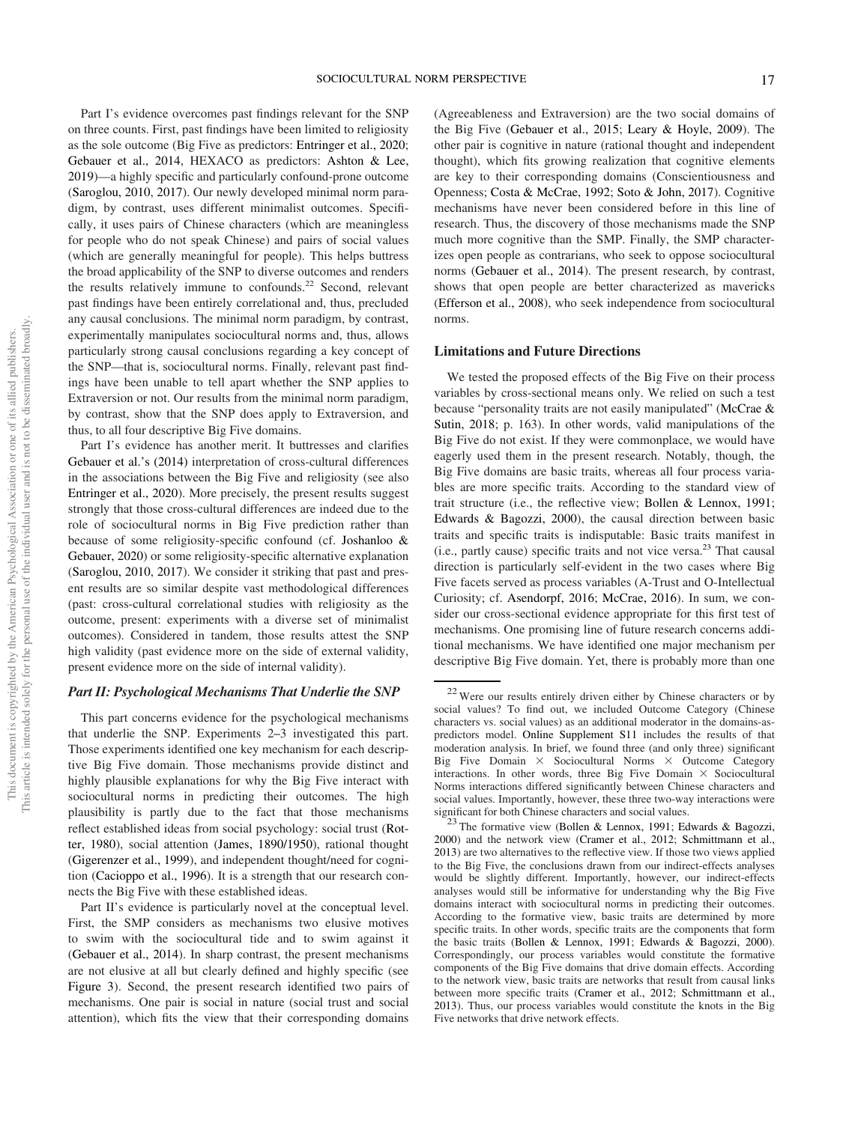Part I's evidence overcomes past findings relevant for the SNP on three counts. First, past findings have been limited to religiosity as the sole outcome (Big Five as predictors: Entringer et al., 2020; Gebauer et al., 2014, HEXACO as predictors: Ashton & Lee, 2019)—a highly specific and particularly confound-prone outcome (Saroglou, 2010, 2017). Our newly developed minimal norm paradigm, by contrast, uses different minimalist outcomes. Specifically, it uses pairs of Chinese characters (which are meaningless for people who do not speak Chinese) and pairs of social values (which are generally meaningful for people). This helps buttress the broad applicability of the SNP to diverse outcomes and renders the results relatively immune to confounds. $22$  Second, relevant past findings have been entirely correlational and, thus, precluded any causal conclusions. The minimal norm paradigm, by contrast, experimentally manipulates sociocultural norms and, thus, allows particularly strong causal conclusions regarding a key concept of the SNP—that is, sociocultural norms. Finally, relevant past findings have been unable to tell apart whether the SNP applies to Extraversion or not. Our results from the minimal norm paradigm, by contrast, show that the SNP does apply to Extraversion, and thus, to all four descriptive Big Five domains.

Part I's evidence has another merit. It buttresses and clarifies Gebauer et al.'s (2014) interpretation of cross-cultural differences in the associations between the Big Five and religiosity (see also Entringer et al., 2020). More precisely, the present results suggest strongly that those cross-cultural differences are indeed due to the role of sociocultural norms in Big Five prediction rather than because of some religiosity-specific confound (cf. Joshanloo & Gebauer, 2020) or some religiosity-specific alternative explanation (Saroglou, 2010, 2017). We consider it striking that past and present results are so similar despite vast methodological differences (past: cross-cultural correlational studies with religiosity as the outcome, present: experiments with a diverse set of minimalist outcomes). Considered in tandem, those results attest the SNP high validity (past evidence more on the side of external validity, present evidence more on the side of internal validity).

#### Part II: Psychological Mechanisms That Underlie the SNP

This part concerns evidence for the psychological mechanisms that underlie the SNP. Experiments 2–3 investigated this part. Those experiments identified one key mechanism for each descriptive Big Five domain. Those mechanisms provide distinct and highly plausible explanations for why the Big Five interact with sociocultural norms in predicting their outcomes. The high plausibility is partly due to the fact that those mechanisms reflect established ideas from social psychology: social trust (Rotter, 1980), social attention (James, 1890/1950), rational thought (Gigerenzer et al., 1999), and independent thought/need for cognition (Cacioppo et al., 1996). It is a strength that our research connects the Big Five with these established ideas.

Part II's evidence is particularly novel at the conceptual level. First, the SMP considers as mechanisms two elusive motives to swim with the sociocultural tide and to swim against it (Gebauer et al., 2014). In sharp contrast, the present mechanisms are not elusive at all but clearly defined and highly specific (see Figure 3). Second, the present research identified two pairs of mechanisms. One pair is social in nature (social trust and social attention), which fits the view that their corresponding domains

(Agreeableness and Extraversion) are the two social domains of the Big Five (Gebauer et al., 2015; Leary & Hoyle, 2009). The other pair is cognitive in nature (rational thought and independent thought), which fits growing realization that cognitive elements are key to their corresponding domains (Conscientiousness and Openness; Costa & McCrae, 1992; Soto & John, 2017). Cognitive mechanisms have never been considered before in this line of research. Thus, the discovery of those mechanisms made the SNP much more cognitive than the SMP. Finally, the SMP characterizes open people as contrarians, who seek to oppose sociocultural norms (Gebauer et al., 2014). The present research, by contrast, shows that open people are better characterized as mavericks (Efferson et al., 2008), who seek independence from sociocultural norms.

#### Limitations and Future Directions

We tested the proposed effects of the Big Five on their process variables by cross-sectional means only. We relied on such a test because "personality traits are not easily manipulated" (McCrae & Sutin, 2018; p. 163). In other words, valid manipulations of the Big Five do not exist. If they were commonplace, we would have eagerly used them in the present research. Notably, though, the Big Five domains are basic traits, whereas all four process variables are more specific traits. According to the standard view of trait structure (i.e., the reflective view; Bollen & Lennox, 1991; Edwards & Bagozzi, 2000), the causal direction between basic traits and specific traits is indisputable: Basic traits manifest in (i.e., partly cause) specific traits and not vice versa.<sup>23</sup> That causal direction is particularly self-evident in the two cases where Big Five facets served as process variables (A-Trust and O-Intellectual Curiosity; cf. Asendorpf, 2016; McCrae, 2016). In sum, we consider our cross-sectional evidence appropriate for this first test of mechanisms. One promising line of future research concerns additional mechanisms. We have identified one major mechanism per descriptive Big Five domain. Yet, there is probably more than one

<sup>&</sup>lt;sup>22</sup> Were our results entirely driven either by Chinese characters or by social values? To find out, we included Outcome Category (Chinese characters vs. social values) as an additional moderator in the domains-aspredictors model. Online Supplement S11 includes the results of that moderation analysis. In brief, we found three (and only three) significant Big Five Domain  $\times$  Sociocultural Norms  $\times$  Outcome Category interactions. In other words, three Big Five Domain  $\times$  Sociocultural Norms interactions differed significantly between Chinese characters and social values. Importantly, however, these three two-way interactions were significant for both Chinese characters and social values.

<sup>&</sup>lt;sup>23</sup> The formative view (Bollen & Lennox, 1991; Edwards & Bagozzi, 2000) and the network view (Cramer et al., 2012; Schmittmann et al., 2013) are two alternatives to the reflective view. If those two views applied to the Big Five, the conclusions drawn from our indirect-effects analyses would be slightly different. Importantly, however, our indirect-effects analyses would still be informative for understanding why the Big Five domains interact with sociocultural norms in predicting their outcomes. According to the formative view, basic traits are determined by more specific traits. In other words, specific traits are the components that form the basic traits (Bollen & Lennox, 1991; Edwards & Bagozzi, 2000). Correspondingly, our process variables would constitute the formative components of the Big Five domains that drive domain effects. According to the network view, basic traits are networks that result from causal links between more specific traits (Cramer et al., 2012; Schmittmann et al., 2013). Thus, our process variables would constitute the knots in the Big Five networks that drive network effects.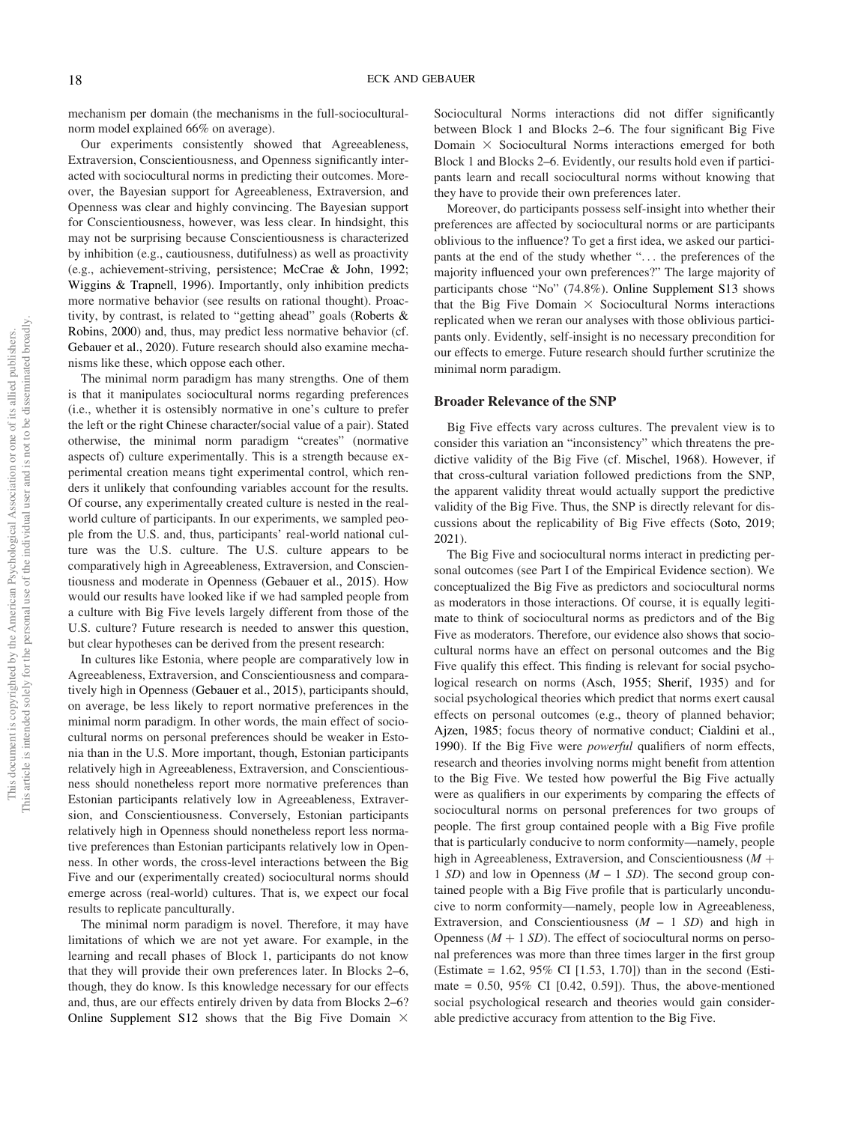mechanism per domain (the mechanisms in the full-socioculturalnorm model explained 66% on average).

Our experiments consistently showed that Agreeableness, Extraversion, Conscientiousness, and Openness significantly interacted with sociocultural norms in predicting their outcomes. Moreover, the Bayesian support for Agreeableness, Extraversion, and Openness was clear and highly convincing. The Bayesian support for Conscientiousness, however, was less clear. In hindsight, this may not be surprising because Conscientiousness is characterized by inhibition (e.g., cautiousness, dutifulness) as well as proactivity (e.g., achievement-striving, persistence; McCrae & John, 1992; Wiggins & Trapnell, 1996). Importantly, only inhibition predicts more normative behavior (see results on rational thought). Proactivity, by contrast, is related to "getting ahead" goals (Roberts & Robins, 2000) and, thus, may predict less normative behavior (cf. Gebauer et al., 2020). Future research should also examine mechanisms like these, which oppose each other.

The minimal norm paradigm has many strengths. One of them is that it manipulates sociocultural norms regarding preferences (i.e., whether it is ostensibly normative in one's culture to prefer the left or the right Chinese character/social value of a pair). Stated otherwise, the minimal norm paradigm "creates" (normative aspects of) culture experimentally. This is a strength because experimental creation means tight experimental control, which renders it unlikely that confounding variables account for the results. Of course, any experimentally created culture is nested in the realworld culture of participants. In our experiments, we sampled people from the U.S. and, thus, participants' real-world national culture was the U.S. culture. The U.S. culture appears to be comparatively high in Agreeableness, Extraversion, and Conscientiousness and moderate in Openness (Gebauer et al., 2015). How would our results have looked like if we had sampled people from a culture with Big Five levels largely different from those of the U.S. culture? Future research is needed to answer this question, but clear hypotheses can be derived from the present research:

In cultures like Estonia, where people are comparatively low in Agreeableness, Extraversion, and Conscientiousness and comparatively high in Openness (Gebauer et al., 2015), participants should, on average, be less likely to report normative preferences in the minimal norm paradigm. In other words, the main effect of sociocultural norms on personal preferences should be weaker in Estonia than in the U.S. More important, though, Estonian participants relatively high in Agreeableness, Extraversion, and Conscientiousness should nonetheless report more normative preferences than Estonian participants relatively low in Agreeableness, Extraversion, and Conscientiousness. Conversely, Estonian participants relatively high in Openness should nonetheless report less normative preferences than Estonian participants relatively low in Openness. In other words, the cross-level interactions between the Big Five and our (experimentally created) sociocultural norms should emerge across (real-world) cultures. That is, we expect our focal results to replicate panculturally.

The minimal norm paradigm is novel. Therefore, it may have limitations of which we are not yet aware. For example, in the learning and recall phases of Block 1, participants do not know that they will provide their own preferences later. In Blocks 2–6, though, they do know. Is this knowledge necessary for our effects and, thus, are our effects entirely driven by data from Blocks 2–6? Online Supplement S12 shows that the Big Five Domain  $\times$ 

Sociocultural Norms interactions did not differ significantly between Block 1 and Blocks 2–6. The four significant Big Five Domain  $\times$  Sociocultural Norms interactions emerged for both Block 1 and Blocks 2–6. Evidently, our results hold even if participants learn and recall sociocultural norms without knowing that they have to provide their own preferences later.

Moreover, do participants possess self-insight into whether their preferences are affected by sociocultural norms or are participants oblivious to the influence? To get a first idea, we asked our participants at the end of the study whether "... the preferences of the majority influenced your own preferences?" The large majority of participants chose "No" (74.8%). Online Supplement S13 shows that the Big Five Domain  $\times$  Sociocultural Norms interactions replicated when we reran our analyses with those oblivious participants only. Evidently, self-insight is no necessary precondition for our effects to emerge. Future research should further scrutinize the minimal norm paradigm.

#### Broader Relevance of the SNP

Big Five effects vary across cultures. The prevalent view is to consider this variation an "inconsistency" which threatens the predictive validity of the Big Five (cf. Mischel, 1968). However, if that cross-cultural variation followed predictions from the SNP, the apparent validity threat would actually support the predictive validity of the Big Five. Thus, the SNP is directly relevant for discussions about the replicability of Big Five effects (Soto, 2019; 2021).

The Big Five and sociocultural norms interact in predicting personal outcomes (see Part I of the Empirical Evidence section). We conceptualized the Big Five as predictors and sociocultural norms as moderators in those interactions. Of course, it is equally legitimate to think of sociocultural norms as predictors and of the Big Five as moderators. Therefore, our evidence also shows that sociocultural norms have an effect on personal outcomes and the Big Five qualify this effect. This finding is relevant for social psychological research on norms (Asch, 1955; Sherif, 1935) and for social psychological theories which predict that norms exert causal effects on personal outcomes (e.g., theory of planned behavior; Ajzen, 1985; focus theory of normative conduct; Cialdini et al., 1990). If the Big Five were *powerful* qualifiers of norm effects, research and theories involving norms might benefit from attention to the Big Five. We tested how powerful the Big Five actually were as qualifiers in our experiments by comparing the effects of sociocultural norms on personal preferences for two groups of people. The first group contained people with a Big Five profile that is particularly conducive to norm conformity—namely, people high in Agreeableness, Extraversion, and Conscientiousness  $(M +$ 1 *SD*) and low in Openness (*M* – 1 *SD*). The second group contained people with a Big Five profile that is particularly unconducive to norm conformity—namely, people low in Agreeableness, Extraversion, and Conscientiousness (*M* – 1 *SD*) and high in Openness  $(M + 1 SD)$ . The effect of sociocultural norms on personal preferences was more than three times larger in the first group (Estimate = 1.62, 95% CI [1.53, 1.70]) than in the second (Estimate =  $0.50$ ,  $95\%$  CI [0.42, 0.59]). Thus, the above-mentioned social psychological research and theories would gain considerable predictive accuracy from attention to the Big Five.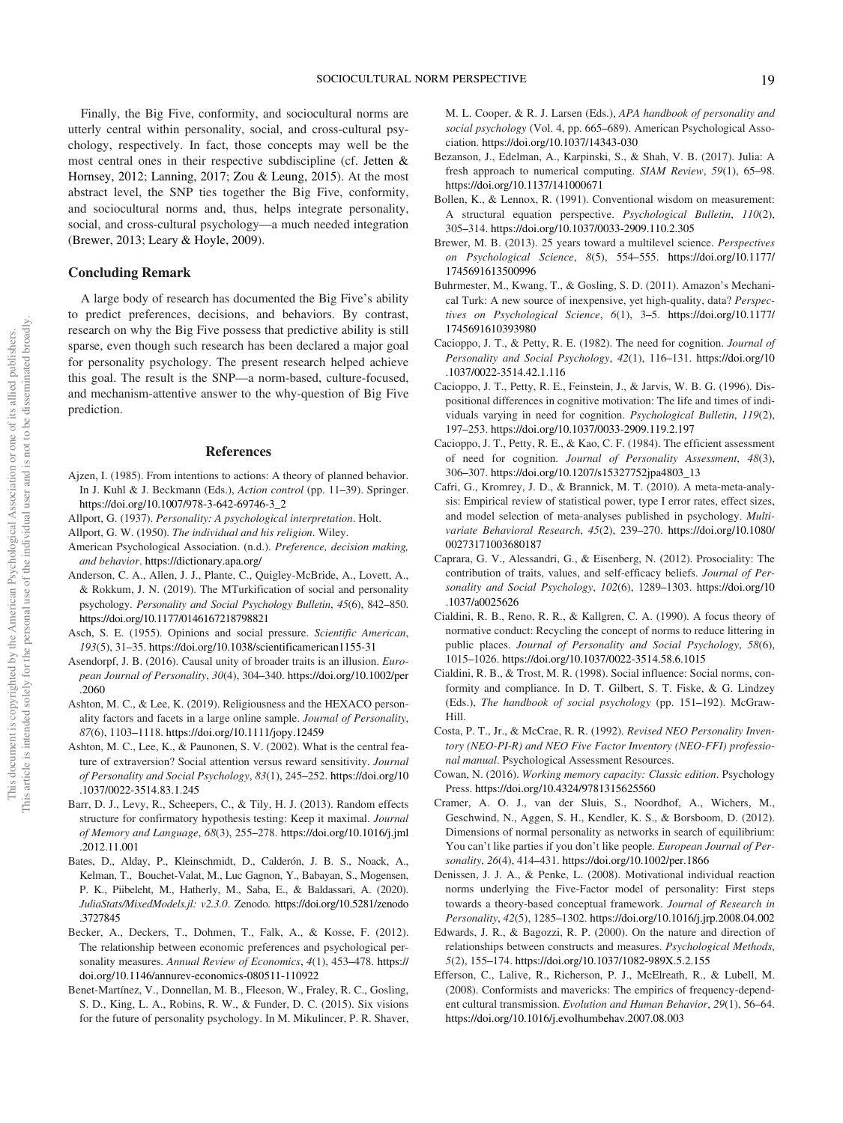Finally, the Big Five, conformity, and sociocultural norms are utterly central within personality, social, and cross-cultural psychology, respectively. In fact, those concepts may well be the most central ones in their respective subdiscipline (cf. Jetten & Hornsey, 2012; Lanning, 2017; Zou & Leung, 2015). At the most abstract level, the SNP ties together the Big Five, conformity, and sociocultural norms and, thus, helps integrate personality, social, and cross-cultural psychology—a much needed integration (Brewer, 2013; Leary & Hoyle, 2009).

#### Concluding Remark

A large body of research has documented the Big Five's ability to predict preferences, decisions, and behaviors. By contrast, research on why the Big Five possess that predictive ability is still sparse, even though such research has been declared a major goal for personality psychology. The present research helped achieve this goal. The result is the SNP—a norm-based, culture-focused, and mechanism-attentive answer to the why-question of Big Five prediction.

#### References

- Ajzen, I. (1985). From intentions to actions: A theory of planned behavior. In J. Kuhl & J. Beckmann (Eds.), *Action control* (pp. 11–39). Springer. https://doi.org/10.1007/978-3-642-69746-3\_2
- Allport, G. (1937). *Personality: A psychological interpretation*. Holt.
- Allport, G. W. (1950). *The individual and his religion*. Wiley.
- American Psychological Association. (n.d.). *Preference, decision making, and behavior*. https://dictionary.apa.org/
- Anderson, C. A., Allen, J. J., Plante, C., Quigley-McBride, A., Lovett, A., & Rokkum, J. N. (2019). The MTurkification of social and personality psychology. *Personality and Social Psychology Bulletin*, *45*(6), 842–850. https://doi.org/10.1177/0146167218798821
- Asch, S. E. (1955). Opinions and social pressure. *Scientific American*, *193*(5), 31–35. https://doi.org/10.1038/scientificamerican1155-31
- Asendorpf, J. B. (2016). Causal unity of broader traits is an illusion. *European Journal of Personality*, *30*(4), 304–340. https://doi.org/10.1002/per .2060
- Ashton, M. C., & Lee, K. (2019). Religiousness and the HEXACO personality factors and facets in a large online sample. *Journal of Personality*, *87*(6), 1103–1118. https://doi.org/10.1111/jopy.12459
- Ashton, M. C., Lee, K., & Paunonen, S. V. (2002). What is the central feature of extraversion? Social attention versus reward sensitivity. *Journal of Personality and Social Psychology*, *83*(1), 245–252. https://doi.org/10 .1037/0022-3514.83.1.245
- Barr, D. J., Levy, R., Scheepers, C., & Tily, H. J. (2013). Random effects structure for confirmatory hypothesis testing: Keep it maximal. *Journal of Memory and Language*, *68*(3), 255–278. https://doi.org/10.1016/j.jml .2012.11.001
- Bates, D., Alday, P., Kleinschmidt, D., Calderón, J. B. S., Noack, A., Kelman, T., Bouchet-Valat, M., Luc Gagnon, Y., Babayan, S., Mogensen, P. K., Piibeleht, M., Hatherly, M., Saba, E., & Baldassari, A. (2020). *JuliaStats/MixedModels.jl: v2.3.0*. Zenodo. https://doi.org/10.5281/zenodo .3727845
- Becker, A., Deckers, T., Dohmen, T., Falk, A., & Kosse, F. (2012). The relationship between economic preferences and psychological personality measures. *Annual Review of Economics*, *4*(1), 453–478. https:// doi.org/10.1146/annurev-economics-080511-110922
- Benet-Martínez, V., Donnellan, M. B., Fleeson, W., Fraley, R. C., Gosling, S. D., King, L. A., Robins, R. W., & Funder, D. C. (2015). Six visions for the future of personality psychology. In M. Mikulincer, P. R. Shaver,

M. L. Cooper, & R. J. Larsen (Eds.), *APA handbook of personality and social psychology* (Vol. 4, pp. 665–689). American Psychological Association. https://doi.org/10.1037/14343-030

- Bezanson, J., Edelman, A., Karpinski, S., & Shah, V. B. (2017). Julia: A fresh approach to numerical computing. *SIAM Review*, *59*(1), 65–98. https://doi.org/10.1137/141000671
- Bollen, K., & Lennox, R. (1991). Conventional wisdom on measurement: A structural equation perspective. *Psychological Bulletin*, *110*(2), 305–314. https://doi.org/10.1037/0033-2909.110.2.305
- Brewer, M. B. (2013). 25 years toward a multilevel science. *Perspectives on Psychological Science*, *8*(5), 554–555. https://doi.org/10.1177/ 1745691613500996
- Buhrmester, M., Kwang, T., & Gosling, S. D. (2011). Amazon's Mechanical Turk: A new source of inexpensive, yet high-quality, data? *Perspectives on Psychological Science*, *6*(1), 3–5. https://doi.org/10.1177/ 1745691610393980
- Cacioppo, J. T., & Petty, R. E. (1982). The need for cognition. *Journal of Personality and Social Psychology*, *42*(1), 116–131. https://doi.org/10 .1037/0022-3514.42.1.116
- Cacioppo, J. T., Petty, R. E., Feinstein, J., & Jarvis, W. B. G. (1996). Dispositional differences in cognitive motivation: The life and times of individuals varying in need for cognition. *Psychological Bulletin*, *119*(2), 197–253. https://doi.org/10.1037/0033-2909.119.2.197
- Cacioppo, J. T., Petty, R. E., & Kao, C. F. (1984). The efficient assessment of need for cognition. *Journal of Personality Assessment*, *48*(3), 306–307. https://doi.org/10.1207/s15327752jpa4803\_13
- Cafri, G., Kromrey, J. D., & Brannick, M. T. (2010). A meta-meta-analysis: Empirical review of statistical power, type I error rates, effect sizes, and model selection of meta-analyses published in psychology. *Multivariate Behavioral Research*, *45*(2), 239–270. https://doi.org/10.1080/ 00273171003680187
- Caprara, G. V., Alessandri, G., & Eisenberg, N. (2012). Prosociality: The contribution of traits, values, and self-efficacy beliefs. *Journal of Personality and Social Psychology*, *102*(6), 1289–1303. https://doi.org/10 .1037/a0025626
- Cialdini, R. B., Reno, R. R., & Kallgren, C. A. (1990). A focus theory of normative conduct: Recycling the concept of norms to reduce littering in public places. *Journal of Personality and Social Psychology*, *58*(6), 1015–1026. https://doi.org/10.1037/0022-3514.58.6.1015
- Cialdini, R. B., & Trost, M. R. (1998). Social influence: Social norms, conformity and compliance. In D. T. Gilbert, S. T. Fiske, & G. Lindzey (Eds.), *The handbook of social psychology* (pp. 151–192). McGraw-Hill.
- Costa, P. T., Jr., & McCrae, R. R. (1992). *Revised NEO Personality Inventory (NEO-PI-R) and NEO Five Factor Inventory (NEO-FFI) professional manual*. Psychological Assessment Resources.
- Cowan, N. (2016). *Working memory capacity: Classic edition*. Psychology Press. https://doi.org/10.4324/9781315625560
- Cramer, A. O. J., van der Sluis, S., Noordhof, A., Wichers, M., Geschwind, N., Aggen, S. H., Kendler, K. S., & Borsboom, D. (2012). Dimensions of normal personality as networks in search of equilibrium: You can't like parties if you don't like people. *European Journal of Personality*, *26*(4), 414–431. https://doi.org/10.1002/per.1866
- Denissen, J. J. A., & Penke, L. (2008). Motivational individual reaction norms underlying the Five-Factor model of personality: First steps towards a theory-based conceptual framework. *Journal of Research in Personality*, *42*(5), 1285–1302. https://doi.org/10.1016/j.jrp.2008.04.002
- Edwards, J. R., & Bagozzi, R. P. (2000). On the nature and direction of relationships between constructs and measures. *Psychological Methods*, *5*(2), 155–174. https://doi.org/10.1037/1082-989X.5.2.155
- Efferson, C., Lalive, R., Richerson, P. J., McElreath, R., & Lubell, M. (2008). Conformists and mavericks: The empirics of frequency-dependent cultural transmission. *Evolution and Human Behavior*, *29*(1), 56–64. https://doi.org/10.1016/j.evolhumbehav.2007.08.003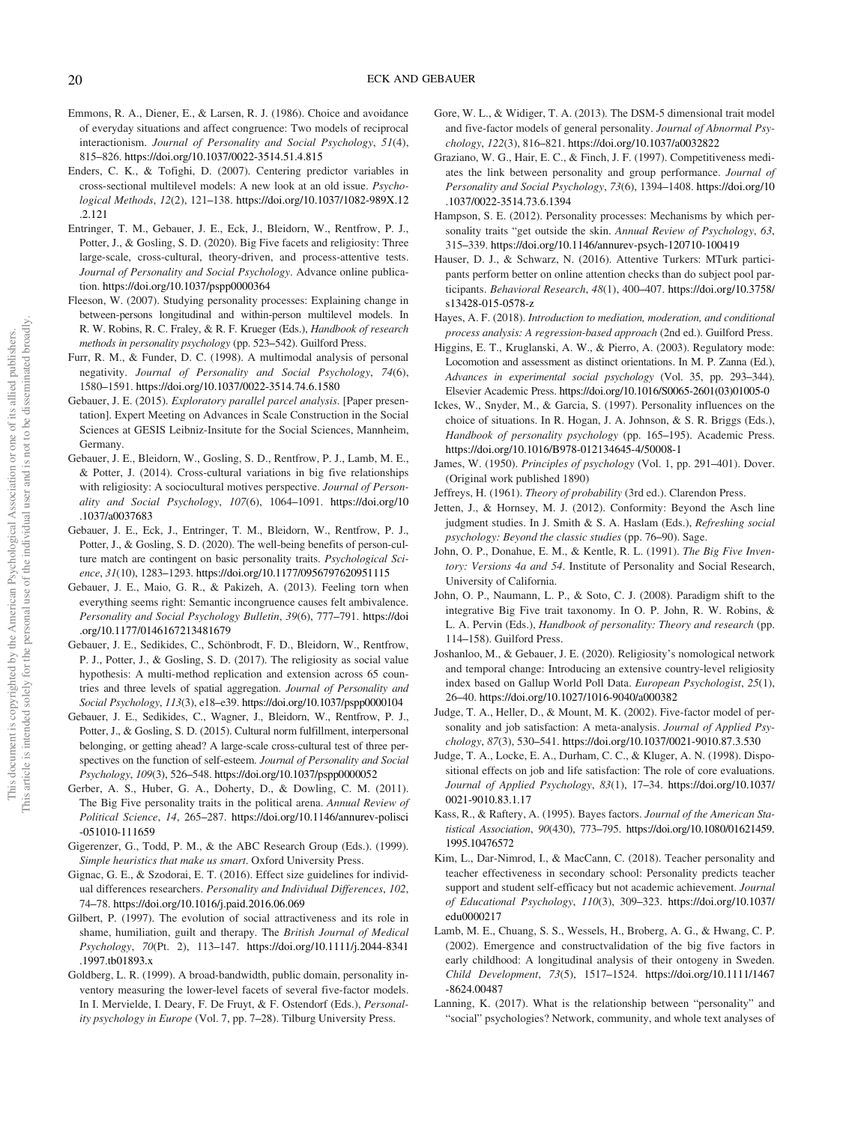- Emmons, R. A., Diener, E., & Larsen, R. J. (1986). Choice and avoidance of everyday situations and affect congruence: Two models of reciprocal interactionism. *Journal of Personality and Social Psychology*, *51*(4), 815–826. https://doi.org/10.1037/0022-3514.51.4.815
- Enders, C. K., & Tofighi, D. (2007). Centering predictor variables in cross-sectional multilevel models: A new look at an old issue. *Psychological Methods*, *12*(2), 121–138. https://doi.org/10.1037/1082-989X.12 .2.121
- Entringer, T. M., Gebauer, J. E., Eck, J., Bleidorn, W., Rentfrow, P. J., Potter, J., & Gosling, S. D. (2020). Big Five facets and religiosity: Three large-scale, cross-cultural, theory-driven, and process-attentive tests. *Journal of Personality and Social Psychology*. Advance online publication. https://doi.org/10.1037/pspp0000364
- Fleeson, W. (2007). Studying personality processes: Explaining change in between-persons longitudinal and within-person multilevel models. In R. W. Robins, R. C. Fraley, & R. F. Krueger (Eds.), *Handbook of research methods in personality psychology* (pp. 523–542). Guilford Press.
- Furr, R. M., & Funder, D. C. (1998). A multimodal analysis of personal negativity. *Journal of Personality and Social Psychology*, *74*(6), 1580–1591. https://doi.org/10.1037/0022-3514.74.6.1580
- Gebauer, J. E. (2015). *Exploratory parallel parcel analysis*. [Paper presentation]. Expert Meeting on Advances in Scale Construction in the Social Sciences at GESIS Leibniz-Insitute for the Social Sciences, Mannheim, Germany.
- Gebauer, J. E., Bleidorn, W., Gosling, S. D., Rentfrow, P. J., Lamb, M. E., & Potter, J. (2014). Cross-cultural variations in big five relationships with religiosity: A sociocultural motives perspective. *Journal of Personality and Social Psychology*, *107*(6), 1064–1091. https://doi.org/10 .1037/a0037683
- Gebauer, J. E., Eck, J., Entringer, T. M., Bleidorn, W., Rentfrow, P. J., Potter, J., & Gosling, S. D. (2020). The well-being benefits of person-culture match are contingent on basic personality traits. *Psychological Science*, *31*(10), 1283–1293. https://doi.org/10.1177/0956797620951115
- Gebauer, J. E., Maio, G. R., & Pakizeh, A. (2013). Feeling torn when everything seems right: Semantic incongruence causes felt ambivalence. *Personality and Social Psychology Bulletin*, *39*(6), 777–791. https://doi .org/10.1177/0146167213481679
- Gebauer, J. E., Sedikides, C., Schönbrodt, F. D., Bleidorn, W., Rentfrow, P. J., Potter, J., & Gosling, S. D. (2017). The religiosity as social value hypothesis: A multi-method replication and extension across 65 countries and three levels of spatial aggregation. *Journal of Personality and Social Psychology*, *113*(3), e18–e39. https://doi.org/10.1037/pspp0000104
- Gebauer, J. E., Sedikides, C., Wagner, J., Bleidorn, W., Rentfrow, P. J., Potter, J., & Gosling, S. D. (2015). Cultural norm fulfillment, interpersonal belonging, or getting ahead? A large-scale cross-cultural test of three perspectives on the function of self-esteem. *Journal of Personality and Social Psychology*, *109*(3), 526–548. https://doi.org/10.1037/pspp0000052
- Gerber, A. S., Huber, G. A., Doherty, D., & Dowling, C. M. (2011). The Big Five personality traits in the political arena. *Annual Review of Political Science*, *14*, 265–287. https://doi.org/10.1146/annurev-polisci -051010-111659
- Gigerenzer, G., Todd, P. M., & the ABC Research Group (Eds.). (1999). *Simple heuristics that make us smart*. Oxford University Press.
- Gignac, G. E., & Szodorai, E. T. (2016). Effect size guidelines for individual differences researchers. *Personality and Individual Differences*, *102*, 74–78. https://doi.org/10.1016/j.paid.2016.06.069
- Gilbert, P. (1997). The evolution of social attractiveness and its role in shame, humiliation, guilt and therapy. The *British Journal of Medical Psychology*, *70*(Pt. 2), 113–147. https://doi.org/10.1111/j.2044-8341 .1997.tb01893.x
- Goldberg, L. R. (1999). A broad-bandwidth, public domain, personality inventory measuring the lower-level facets of several five-factor models. In I. Mervielde, I. Deary, F. De Fruyt, & F. Ostendorf (Eds.), *Personality psychology in Europe* (Vol. 7, pp. 7–28). Tilburg University Press.
- Gore, W. L., & Widiger, T. A. (2013). The DSM-5 dimensional trait model and five-factor models of general personality. *Journal of Abnormal Psychology*, *122*(3), 816–821. https://doi.org/10.1037/a0032822
- Graziano, W. G., Hair, E. C., & Finch, J. F. (1997). Competitiveness mediates the link between personality and group performance. *Journal of Personality and Social Psychology*, *73*(6), 1394–1408. https://doi.org/10 .1037/0022-3514.73.6.1394
- Hampson, S. E. (2012). Personality processes: Mechanisms by which personality traits "get outside the skin. *Annual Review of Psychology*, *63*, 315–339. https://doi.org/10.1146/annurev-psych-120710-100419
- Hauser, D. J., & Schwarz, N. (2016). Attentive Turkers: MTurk participants perform better on online attention checks than do subject pool participants. *Behavioral Research*, *48*(1), 400–407. https://doi.org/10.3758/ s13428-015-0578-z
- Hayes, A. F. (2018). *Introduction to mediation, moderation, and conditional process analysis: A regression-based approach* (2nd ed.). Guilford Press.
- Higgins, E. T., Kruglanski, A. W., & Pierro, A. (2003). Regulatory mode: Locomotion and assessment as distinct orientations. In M. P. Zanna (Ed.), *Advances in experimental social psychology* (Vol. 35, pp. 293–344). Elsevier Academic Press. https://doi.org/10.1016/S0065-2601(03)01005-0
- Ickes, W., Snyder, M., & Garcia, S. (1997). Personality influences on the choice of situations. In R. Hogan, J. A. Johnson, & S. R. Briggs (Eds.), *Handbook of personality psychology* (pp. 165–195). Academic Press. https://doi.org/10.1016/B978-012134645-4/50008-1
- James, W. (1950). *Principles of psychology* (Vol. 1, pp. 291–401). Dover. (Original work published 1890)
- Jeffreys, H. (1961). *Theory of probability* (3rd ed.). Clarendon Press.
- Jetten, J., & Hornsey, M. J. (2012). Conformity: Beyond the Asch line judgment studies. In J. Smith & S. A. Haslam (Eds.), *Refreshing social psychology: Beyond the classic studies* (pp. 76–90). Sage.
- John, O. P., Donahue, E. M., & Kentle, R. L. (1991). *The Big Five Inventory: Versions 4a and 54*. Institute of Personality and Social Research, University of California.
- John, O. P., Naumann, L. P., & Soto, C. J. (2008). Paradigm shift to the integrative Big Five trait taxonomy. In O. P. John, R. W. Robins, & L. A. Pervin (Eds.), *Handbook of personality: Theory and research* (pp. 114–158). Guilford Press.
- Joshanloo, M., & Gebauer, J. E. (2020). Religiosity's nomological network and temporal change: Introducing an extensive country-level religiosity index based on Gallup World Poll Data. *European Psychologist*, *25*(1), 26–40. https://doi.org/10.1027/1016-9040/a000382
- Judge, T. A., Heller, D., & Mount, M. K. (2002). Five-factor model of personality and job satisfaction: A meta-analysis. *Journal of Applied Psychology*, *87*(3), 530–541. https://doi.org/10.1037/0021-9010.87.3.530
- Judge, T. A., Locke, E. A., Durham, C. C., & Kluger, A. N. (1998). Dispositional effects on job and life satisfaction: The role of core evaluations. *Journal of Applied Psychology*, *83*(1), 17–34. https://doi.org/10.1037/ 0021-9010.83.1.17
- Kass, R., & Raftery, A. (1995). Bayes factors. *Journal of the American Statistical Association*, *90*(430), 773–795. https://doi.org/10.1080/01621459. 1995.10476572
- Kim, L., Dar-Nimrod, I., & MacCann, C. (2018). Teacher personality and teacher effectiveness in secondary school: Personality predicts teacher support and student self-efficacy but not academic achievement. *Journal of Educational Psychology*, *110*(3), 309–323. https://doi.org/10.1037/ edu0000217
- Lamb, M. E., Chuang, S. S., Wessels, H., Broberg, A. G., & Hwang, C. P. (2002). Emergence and constructvalidation of the big five factors in early childhood: A longitudinal analysis of their ontogeny in Sweden. *Child Development*, *73*(5), 1517–1524. https://doi.org/10.1111/1467 -8624.00487
- Lanning, K. (2017). What is the relationship between "personality" and "social" psychologies? Network, community, and whole text analyses of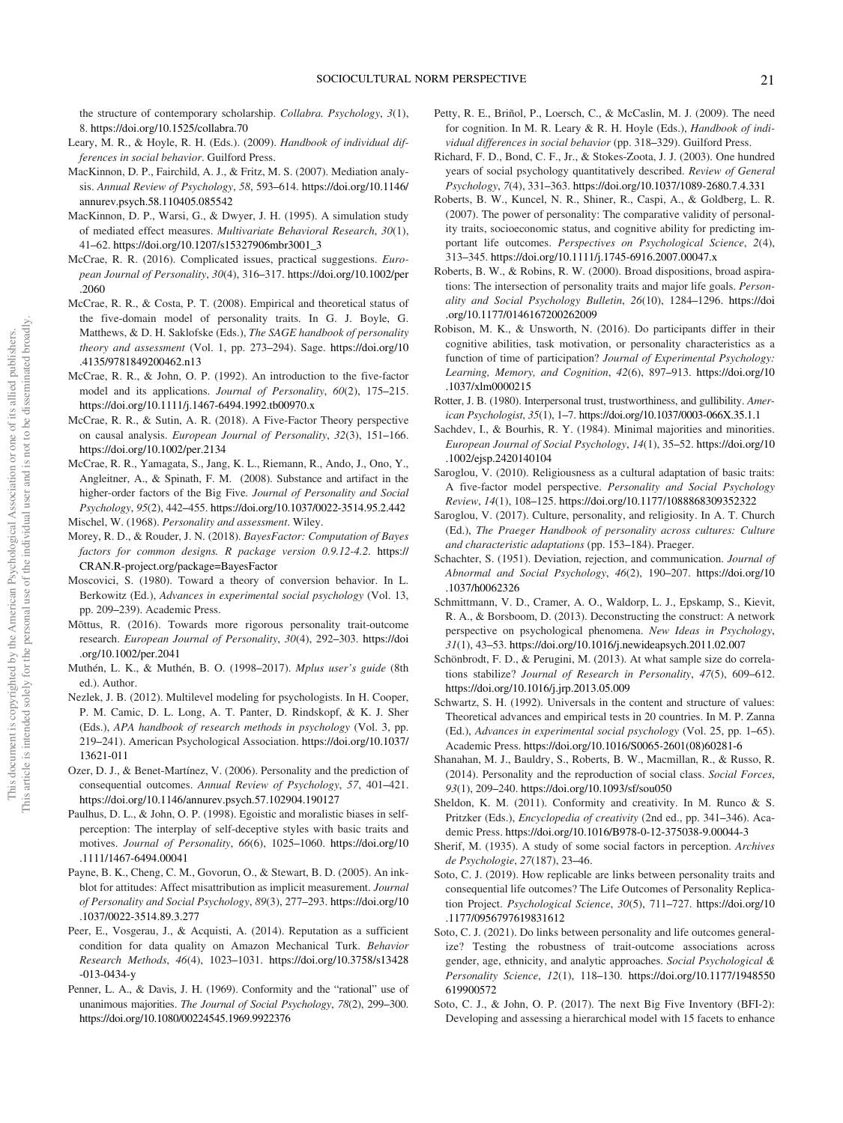the structure of contemporary scholarship. *Collabra. Psychology*, *3*(1), 8. https://doi.org/10.1525/collabra.70

- Leary, M. R., & Hoyle, R. H. (Eds.). (2009). *Handbook of individual differences in social behavior*. Guilford Press.
- MacKinnon, D. P., Fairchild, A. J., & Fritz, M. S. (2007). Mediation analysis. *Annual Review of Psychology*, *58*, 593–614. https://doi.org/10.1146/ annurev.psych.58.110405.085542
- MacKinnon, D. P., Warsi, G., & Dwyer, J. H. (1995). A simulation study of mediated effect measures. *Multivariate Behavioral Research*, *30*(1), 41–62. https://doi.org/10.1207/s15327906mbr3001\_3
- McCrae, R. R. (2016). Complicated issues, practical suggestions. *European Journal of Personality*, *30*(4), 316–317. https://doi.org/10.1002/per .2060
- McCrae, R. R., & Costa, P. T. (2008). Empirical and theoretical status of the five-domain model of personality traits. In G. J. Boyle, G. Matthews, & D. H. Saklofske (Eds.), *The SAGE handbook of personality theory and assessment* (Vol. 1, pp. 273–294). Sage. https://doi.org/10 .4135/9781849200462.n13
- McCrae, R. R., & John, O. P. (1992). An introduction to the five-factor model and its applications. *Journal of Personality*, *60*(2), 175–215. https://doi.org/10.1111/j.1467-6494.1992.tb00970.x
- McCrae, R. R., & Sutin, A. R. (2018). A Five-Factor Theory perspective on causal analysis. *European Journal of Personality*, *32*(3), 151–166. https://doi.org/10.1002/per.2134
- McCrae, R. R., Yamagata, S., Jang, K. L., Riemann, R., Ando, J., Ono, Y., Angleitner, A., & Spinath, F. M. (2008). Substance and artifact in the higher-order factors of the Big Five. *Journal of Personality and Social Psychology*, *95*(2), 442–455. https://doi.org/10.1037/0022-3514.95.2.442
- Mischel, W. (1968). *Personality and assessment*. Wiley.
- Morey, R. D., & Rouder, J. N. (2018). *BayesFactor: Computation of Bayes factors for common designs. R package version 0.9.12-4.2*. https:// CRAN.R-project.org/package=BayesFactor
- Moscovici, S. (1980). Toward a theory of conversion behavior. In L. Berkowitz (Ed.), *Advances in experimental social psychology* (Vol. 13, pp. 209–239). Academic Press.
- Mõttus, R. (2016). Towards more rigorous personality trait-outcome research. *European Journal of Personality*, *30*(4), 292–303. https://doi .org/10.1002/per.2041
- Muthén, L. K., & Muthén, B. O. (1998–2017). *Mplus user*'*s guide* (8th ed.). Author.
- Nezlek, J. B. (2012). Multilevel modeling for psychologists. In H. Cooper, P. M. Camic, D. L. Long, A. T. Panter, D. Rindskopf, & K. J. Sher (Eds.), *APA handbook of research methods in psychology* (Vol. 3, pp. 219–241). American Psychological Association. https://doi.org/10.1037/ 13621-011
- Ozer, D. J., & Benet-Martínez, V. (2006). Personality and the prediction of consequential outcomes. *Annual Review of Psychology*, *57*, 401–421. https://doi.org/10.1146/annurev.psych.57.102904.190127
- Paulhus, D. L., & John, O. P. (1998). Egoistic and moralistic biases in selfperception: The interplay of self-deceptive styles with basic traits and motives. *Journal of Personality*, *66*(6), 1025–1060. https://doi.org/10 .1111/1467-6494.00041
- Payne, B. K., Cheng, C. M., Govorun, O., & Stewart, B. D. (2005). An inkblot for attitudes: Affect misattribution as implicit measurement. *Journal of Personality and Social Psychology*, *89*(3), 277–293. https://doi.org/10 .1037/0022-3514.89.3.277
- Peer, E., Vosgerau, J., & Acquisti, A. (2014). Reputation as a sufficient condition for data quality on Amazon Mechanical Turk. *Behavior Research Methods*, *46*(4), 1023–1031. https://doi.org/10.3758/s13428 -013-0434-y
- Penner, L. A., & Davis, J. H. (1969). Conformity and the "rational" use of unanimous majorities. *The Journal of Social Psychology*, *78*(2), 299–300. https://doi.org/10.1080/00224545.1969.9922376
- Petty, R. E., Briñol, P., Loersch, C., & McCaslin, M. J. (2009). The need for cognition. In M. R. Leary & R. H. Hoyle (Eds.), *Handbook of individual differences in social behavior* (pp. 318–329). Guilford Press.
- Richard, F. D., Bond, C. F., Jr., & Stokes-Zoota, J. J. (2003). One hundred years of social psychology quantitatively described. *Review of General Psychology*, *7*(4), 331–363. https://doi.org/10.1037/1089-2680.7.4.331
- Roberts, B. W., Kuncel, N. R., Shiner, R., Caspi, A., & Goldberg, L. R. (2007). The power of personality: The comparative validity of personality traits, socioeconomic status, and cognitive ability for predicting important life outcomes. *Perspectives on Psychological Science*, *2*(4), 313–345. https://doi.org/10.1111/j.1745-6916.2007.00047.x
- Roberts, B. W., & Robins, R. W. (2000). Broad dispositions, broad aspirations: The intersection of personality traits and major life goals. *Personality and Social Psychology Bulletin*, *26*(10), 1284–1296. https://doi .org/10.1177/0146167200262009
- Robison, M. K., & Unsworth, N. (2016). Do participants differ in their cognitive abilities, task motivation, or personality characteristics as a function of time of participation? *Journal of Experimental Psychology: Learning, Memory, and Cognition*, *42*(6), 897–913. https://doi.org/10 .1037/xlm0000215
- Rotter, J. B. (1980). Interpersonal trust, trustworthiness, and gullibility. *American Psychologist*, *35*(1), 1–7. https://doi.org/10.1037/0003-066X.35.1.1
- Sachdev, I., & Bourhis, R. Y. (1984). Minimal majorities and minorities. *European Journal of Social Psychology*, *14*(1), 35–52. https://doi.org/10 .1002/ejsp.2420140104
- Saroglou, V. (2010). Religiousness as a cultural adaptation of basic traits: A five-factor model perspective. *Personality and Social Psychology Review*, *14*(1), 108–125. https://doi.org/10.1177/1088868309352322
- Saroglou, V. (2017). Culture, personality, and religiosity. In A. T. Church (Ed.), *The Praeger Handbook of personality across cultures: Culture and characteristic adaptations* (pp. 153–184). Praeger.
- Schachter, S. (1951). Deviation, rejection, and communication. *Journal of Abnormal and Social Psychology*, *46*(2), 190–207. https://doi.org/10 .1037/h0062326
- Schmittmann, V. D., Cramer, A. O., Waldorp, L. J., Epskamp, S., Kievit, R. A., & Borsboom, D. (2013). Deconstructing the construct: A network perspective on psychological phenomena. *New Ideas in Psychology*, *31*(1), 43–53. https://doi.org/10.1016/j.newideapsych.2011.02.007
- Schönbrodt, F. D., & Perugini, M. (2013). At what sample size do correlations stabilize? *Journal of Research in Personality*, *47*(5), 609–612. https://doi.org/10.1016/j.jrp.2013.05.009
- Schwartz, S. H. (1992). Universals in the content and structure of values: Theoretical advances and empirical tests in 20 countries. In M. P. Zanna (Ed.), *Advances in experimental social psychology* (Vol. 25, pp. 1–65). Academic Press. https://doi.org/10.1016/S0065-2601(08)60281-6
- Shanahan, M. J., Bauldry, S., Roberts, B. W., Macmillan, R., & Russo, R. (2014). Personality and the reproduction of social class. *Social Forces*, *93*(1), 209–240. https://doi.org/10.1093/sf/sou050
- Sheldon, K. M. (2011). Conformity and creativity. In M. Runco & S. Pritzker (Eds.), *Encyclopedia of creativity* (2nd ed., pp. 341–346). Academic Press. https://doi.org/10.1016/B978-0-12-375038-9.00044-3
- Sherif, M. (1935). A study of some social factors in perception. *Archives de Psychologie*, *27*(187), 23–46.
- Soto, C. J. (2019). How replicable are links between personality traits and consequential life outcomes? The Life Outcomes of Personality Replication Project. *Psychological Science*, *30*(5), 711–727. https://doi.org/10 .1177/0956797619831612
- Soto, C. J. (2021). Do links between personality and life outcomes generalize? Testing the robustness of trait-outcome associations across gender, age, ethnicity, and analytic approaches. *Social Psychological & Personality Science*, *12*(1), 118–130. https://doi.org/10.1177/1948550 619900572
- Soto, C. J., & John, O. P. (2017). The next Big Five Inventory (BFI-2): Developing and assessing a hierarchical model with 15 facets to enhance